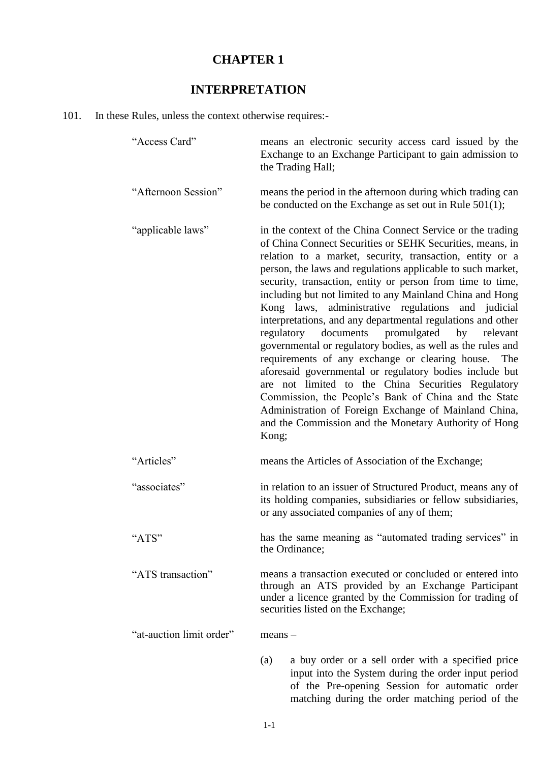## **CHAPTER 1**

# **INTERPRETATION**

## 101. In these Rules, unless the context otherwise requires:-

| "Access Card"            | means an electronic security access card issued by the<br>Exchange to an Exchange Participant to gain admission to<br>the Trading Hall;                                                                                                                                                                                                                                                                                                                                                                                                                                                                                                                                                                                                                                                                                                                                                                                                                                        |  |
|--------------------------|--------------------------------------------------------------------------------------------------------------------------------------------------------------------------------------------------------------------------------------------------------------------------------------------------------------------------------------------------------------------------------------------------------------------------------------------------------------------------------------------------------------------------------------------------------------------------------------------------------------------------------------------------------------------------------------------------------------------------------------------------------------------------------------------------------------------------------------------------------------------------------------------------------------------------------------------------------------------------------|--|
| "Afternoon Session"      | means the period in the afternoon during which trading can<br>be conducted on the Exchange as set out in Rule 501(1);                                                                                                                                                                                                                                                                                                                                                                                                                                                                                                                                                                                                                                                                                                                                                                                                                                                          |  |
| "applicable laws"        | in the context of the China Connect Service or the trading<br>of China Connect Securities or SEHK Securities, means, in<br>relation to a market, security, transaction, entity or a<br>person, the laws and regulations applicable to such market,<br>security, transaction, entity or person from time to time,<br>including but not limited to any Mainland China and Hong<br>Kong laws, administrative regulations and judicial<br>interpretations, and any departmental regulations and other<br>regulatory documents promulgated by<br>relevant<br>governmental or regulatory bodies, as well as the rules and<br>requirements of any exchange or clearing house. The<br>aforesaid governmental or regulatory bodies include but<br>are not limited to the China Securities Regulatory<br>Commission, the People's Bank of China and the State<br>Administration of Foreign Exchange of Mainland China,<br>and the Commission and the Monetary Authority of Hong<br>Kong; |  |
| "Articles"               | means the Articles of Association of the Exchange;                                                                                                                                                                                                                                                                                                                                                                                                                                                                                                                                                                                                                                                                                                                                                                                                                                                                                                                             |  |
| "associates"             | in relation to an issuer of Structured Product, means any of<br>its holding companies, subsidiaries or fellow subsidiaries,<br>or any associated companies of any of them;                                                                                                                                                                                                                                                                                                                                                                                                                                                                                                                                                                                                                                                                                                                                                                                                     |  |
| "ATS"                    | has the same meaning as "automated trading services" in<br>the Ordinance;                                                                                                                                                                                                                                                                                                                                                                                                                                                                                                                                                                                                                                                                                                                                                                                                                                                                                                      |  |
| "ATS transaction"        | means a transaction executed or concluded or entered into<br>through an ATS provided by an Exchange Participant<br>under a licence granted by the Commission for trading of<br>securities listed on the Exchange;                                                                                                                                                                                                                                                                                                                                                                                                                                                                                                                                                                                                                                                                                                                                                              |  |
| "at-auction limit order" | $means -$                                                                                                                                                                                                                                                                                                                                                                                                                                                                                                                                                                                                                                                                                                                                                                                                                                                                                                                                                                      |  |
|                          | (a)<br>a buy order or a sell order with a specified price<br>input into the System during the order input period<br>of the Pre-opening Session for automatic order                                                                                                                                                                                                                                                                                                                                                                                                                                                                                                                                                                                                                                                                                                                                                                                                             |  |

matching during the order matching period of the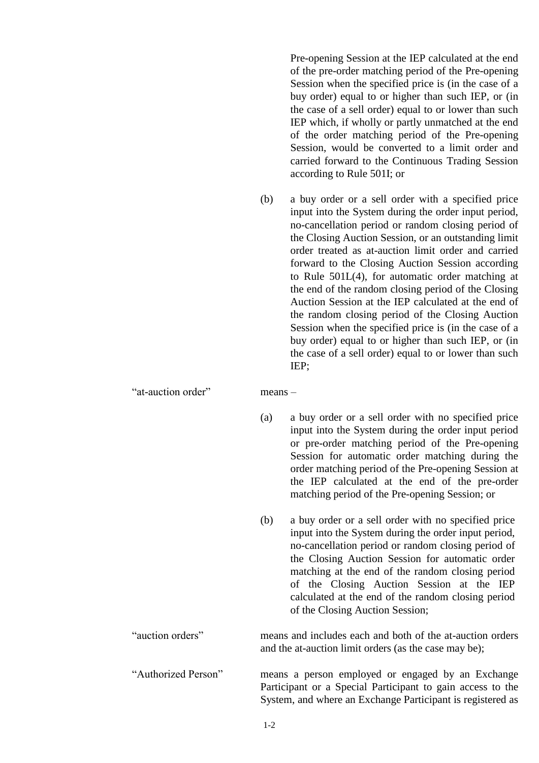Pre-opening Session at the IEP calculated at the end of the pre-order matching period of the Pre-opening Session when the specified price is (in the case of a buy order) equal to or higher than such IEP, or (in the case of a sell order) equal to or lower than such IEP which, if wholly or partly unmatched at the end of the order matching period of the Pre-opening Session, would be converted to a limit order and carried forward to the Continuous Trading Session according to Rule 501I; or

(b) a buy order or a sell order with a specified price input into the System during the order input period, no-cancellation period or random closing period of the Closing Auction Session, or an outstanding limit order treated as at-auction limit order and carried forward to the Closing Auction Session according to Rule 501L(4), for automatic order matching at the end of the random closing period of the Closing Auction Session at the IEP calculated at the end of the random closing period of the Closing Auction Session when the specified price is (in the case of a buy order) equal to or higher than such IEP, or (in the case of a sell order) equal to or lower than such IEP;

"at-auction order" means –

- (a) a buy order or a sell order with no specified price input into the System during the order input period or pre-order matching period of the Pre-opening Session for automatic order matching during the order matching period of the Pre-opening Session at the IEP calculated at the end of the pre-order matching period of the Pre-opening Session; or
- (b) a buy order or a sell order with no specified price input into the System during the order input period, no-cancellation period or random closing period of the Closing Auction Session for automatic order matching at the end of the random closing period of the Closing Auction Session at the IEP calculated at the end of the random closing period of the Closing Auction Session;

"auction orders" means and includes each and both of the at-auction orders and the at-auction limit orders (as the case may be);

"Authorized Person" means a person employed or engaged by an Exchange Participant or a Special Participant to gain access to the System, and where an Exchange Participant is registered as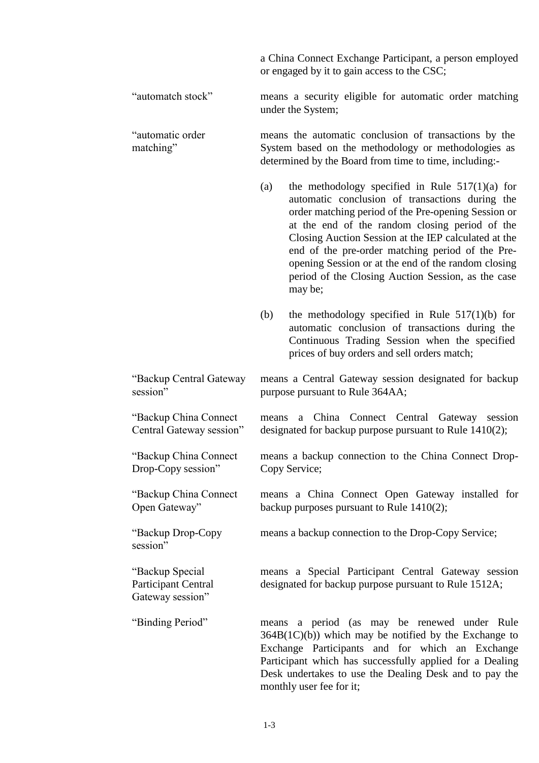a China Connect Exchange Participant, a person employed or engaged by it to gain access to the CSC;

"automatch stock" means a security eligible for automatic order matching under the System;

"automatic order matching" means the automatic conclusion of transactions by the System based on the methodology or methodologies as determined by the Board from time to time, including:-

- (a) the methodology specified in Rule  $517(1)(a)$  for automatic conclusion of transactions during the order matching period of the Pre-opening Session or at the end of the random closing period of the Closing Auction Session at the IEP calculated at the end of the pre-order matching period of the Preopening Session or at the end of the random closing period of the Closing Auction Session, as the case may be;
- (b) the methodology specified in Rule 517(1)(b) for automatic conclusion of transactions during the Continuous Trading Session when the specified prices of buy orders and sell orders match;

"Backup Central Gateway means a Central Gateway session designated for backup purpose pursuant to Rule 364AA;

> means a China Connect Central Gateway session designated for backup purpose pursuant to Rule 1410(2);

> means a backup connection to the China Connect Drop-Copy Service;

> means a China Connect Open Gateway installed for backup purposes pursuant to Rule 1410(2);

means a backup connection to the Drop-Copy Service;

means a Special Participant Central Gateway session designated for backup purpose pursuant to Rule 1512A;

"Binding Period" means a period (as may be renewed under Rule  $364B(1C)(b)$ ) which may be notified by the Exchange to Exchange Participants and for which an Exchange Participant which has successfully applied for a Dealing Desk undertakes to use the Dealing Desk and to pay the monthly user fee for it;

session"

"Backup China Connect Central Gateway session"

"Backup China Connect Drop-Copy session"

"Backup China Connect

"Backup Drop-Copy

Open Gateway"

"Backup Special Participant Central Gateway session"

session"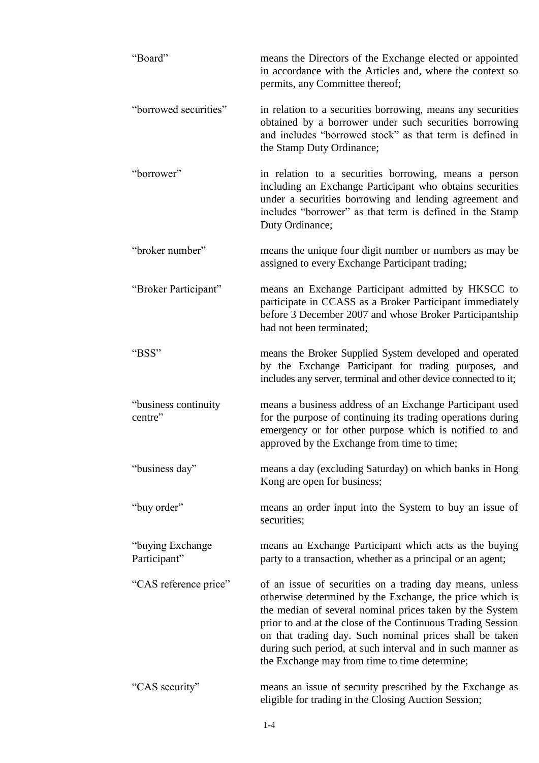| "Board"                           | means the Directors of the Exchange elected or appointed<br>in accordance with the Articles and, where the context so<br>permits, any Committee thereof;                                                                                                                                                                                                                                                                  |
|-----------------------------------|---------------------------------------------------------------------------------------------------------------------------------------------------------------------------------------------------------------------------------------------------------------------------------------------------------------------------------------------------------------------------------------------------------------------------|
| "borrowed securities"             | in relation to a securities borrowing, means any securities<br>obtained by a borrower under such securities borrowing<br>and includes "borrowed stock" as that term is defined in<br>the Stamp Duty Ordinance;                                                                                                                                                                                                            |
| "borrower"                        | in relation to a securities borrowing, means a person<br>including an Exchange Participant who obtains securities<br>under a securities borrowing and lending agreement and<br>includes "borrower" as that term is defined in the Stamp<br>Duty Ordinance;                                                                                                                                                                |
| "broker number"                   | means the unique four digit number or numbers as may be<br>assigned to every Exchange Participant trading;                                                                                                                                                                                                                                                                                                                |
| "Broker Participant"              | means an Exchange Participant admitted by HKSCC to<br>participate in CCASS as a Broker Participant immediately<br>before 3 December 2007 and whose Broker Participantship<br>had not been terminated;                                                                                                                                                                                                                     |
| "BSS"                             | means the Broker Supplied System developed and operated<br>by the Exchange Participant for trading purposes, and<br>includes any server, terminal and other device connected to it;                                                                                                                                                                                                                                       |
| "business continuity<br>centre"   | means a business address of an Exchange Participant used<br>for the purpose of continuing its trading operations during<br>emergency or for other purpose which is notified to and<br>approved by the Exchange from time to time;                                                                                                                                                                                         |
| "business day"                    | means a day (excluding Saturday) on which banks in Hong<br>Kong are open for business;                                                                                                                                                                                                                                                                                                                                    |
| "buy order"                       | means an order input into the System to buy an issue of<br>securities;                                                                                                                                                                                                                                                                                                                                                    |
| "buying Exchange"<br>Participant" | means an Exchange Participant which acts as the buying<br>party to a transaction, whether as a principal or an agent;                                                                                                                                                                                                                                                                                                     |
| "CAS reference price"             | of an issue of securities on a trading day means, unless<br>otherwise determined by the Exchange, the price which is<br>the median of several nominal prices taken by the System<br>prior to and at the close of the Continuous Trading Session<br>on that trading day. Such nominal prices shall be taken<br>during such period, at such interval and in such manner as<br>the Exchange may from time to time determine; |
| "CAS security"                    | means an issue of security prescribed by the Exchange as<br>eligible for trading in the Closing Auction Session;                                                                                                                                                                                                                                                                                                          |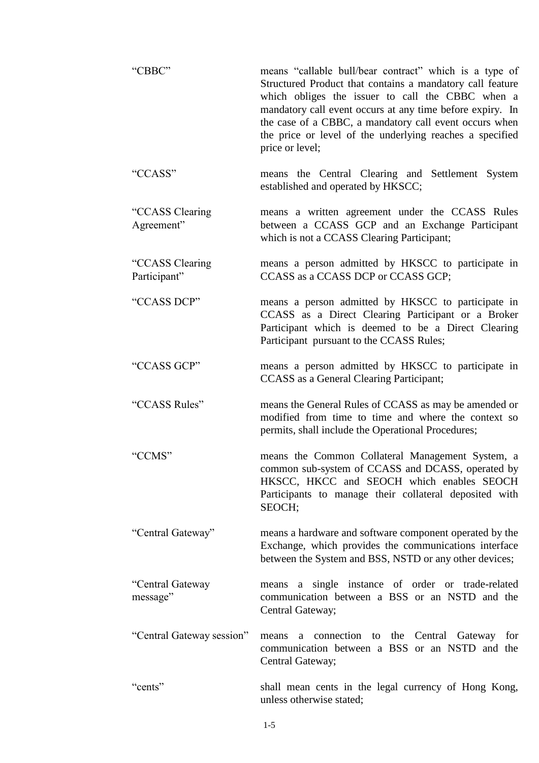| "CBBC"                          | means "callable bull/bear contract" which is a type of<br>Structured Product that contains a mandatory call feature<br>which obliges the issuer to call the CBBC when a<br>mandatory call event occurs at any time before expiry. In<br>the case of a CBBC, a mandatory call event occurs when<br>the price or level of the underlying reaches a specified<br>price or level; |  |
|---------------------------------|-------------------------------------------------------------------------------------------------------------------------------------------------------------------------------------------------------------------------------------------------------------------------------------------------------------------------------------------------------------------------------|--|
| "CCASS"                         | means the Central Clearing and Settlement System<br>established and operated by HKSCC;                                                                                                                                                                                                                                                                                        |  |
| "CCASS Clearing<br>Agreement"   | means a written agreement under the CCASS Rules<br>between a CCASS GCP and an Exchange Participant<br>which is not a CCASS Clearing Participant;                                                                                                                                                                                                                              |  |
| "CCASS Clearing<br>Participant" | means a person admitted by HKSCC to participate in<br>CCASS as a CCASS DCP or CCASS GCP;                                                                                                                                                                                                                                                                                      |  |
| "CCASS DCP"                     | means a person admitted by HKSCC to participate in<br>CCASS as a Direct Clearing Participant or a Broker<br>Participant which is deemed to be a Direct Clearing<br>Participant pursuant to the CCASS Rules;                                                                                                                                                                   |  |
| "CCASS GCP"                     | means a person admitted by HKSCC to participate in<br>CCASS as a General Clearing Participant;                                                                                                                                                                                                                                                                                |  |
| "CCASS Rules"                   | means the General Rules of CCASS as may be amended or<br>modified from time to time and where the context so<br>permits, shall include the Operational Procedures;                                                                                                                                                                                                            |  |
| "CCMS"                          | means the Common Collateral Management System, a<br>common sub-system of CCASS and DCASS, operated by<br>HKSCC, HKCC and SEOCH which enables SEOCH<br>Participants to manage their collateral deposited with<br>SEOCH;                                                                                                                                                        |  |
| "Central Gateway"               | means a hardware and software component operated by the<br>Exchange, which provides the communications interface<br>between the System and BSS, NSTD or any other devices;                                                                                                                                                                                                    |  |
| "Central Gateway<br>message"    | means a single instance of order or trade-related<br>communication between a BSS or an NSTD and the<br>Central Gateway;                                                                                                                                                                                                                                                       |  |
| "Central Gateway session"       | means a connection to<br>the Central<br>Gateway<br>for<br>communication between a BSS or an NSTD and the<br>Central Gateway;                                                                                                                                                                                                                                                  |  |
| "cents"                         | shall mean cents in the legal currency of Hong Kong,<br>unless otherwise stated;                                                                                                                                                                                                                                                                                              |  |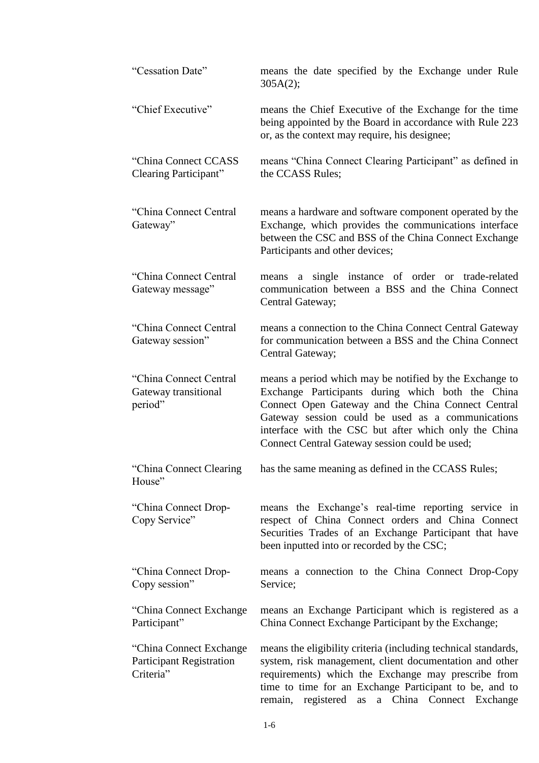| "Cessation Date"                                                        | means the date specified by the Exchange under Rule<br>305A(2);                                                                                                                                                                                                                                                                    |
|-------------------------------------------------------------------------|------------------------------------------------------------------------------------------------------------------------------------------------------------------------------------------------------------------------------------------------------------------------------------------------------------------------------------|
| "Chief Executive"                                                       | means the Chief Executive of the Exchange for the time<br>being appointed by the Board in accordance with Rule 223<br>or, as the context may require, his designee;                                                                                                                                                                |
| "China Connect CCASS"<br>Clearing Participant"                          | means "China Connect Clearing Participant" as defined in<br>the CCASS Rules;                                                                                                                                                                                                                                                       |
| "China Connect Central<br>Gateway"                                      | means a hardware and software component operated by the<br>Exchange, which provides the communications interface<br>between the CSC and BSS of the China Connect Exchange<br>Participants and other devices;                                                                                                                       |
| "China Connect Central<br>Gateway message"                              | means a single instance of order or trade-related<br>communication between a BSS and the China Connect<br>Central Gateway;                                                                                                                                                                                                         |
| "China Connect Central<br>Gateway session"                              | means a connection to the China Connect Central Gateway<br>for communication between a BSS and the China Connect<br>Central Gateway;                                                                                                                                                                                               |
| "China Connect Central<br>Gateway transitional<br>period"               | means a period which may be notified by the Exchange to<br>Exchange Participants during which both the China<br>Connect Open Gateway and the China Connect Central<br>Gateway session could be used as a communications<br>interface with the CSC but after which only the China<br>Connect Central Gateway session could be used; |
| "China Connect Clearing<br>House"                                       | has the same meaning as defined in the CCASS Rules;                                                                                                                                                                                                                                                                                |
| "China Connect Drop-<br>Copy Service"                                   | means the Exchange's real-time reporting service in<br>respect of China Connect orders and China Connect<br>Securities Trades of an Exchange Participant that have<br>been inputted into or recorded by the CSC;                                                                                                                   |
| "China Connect Drop-<br>Copy session"                                   | means a connection to the China Connect Drop-Copy<br>Service;                                                                                                                                                                                                                                                                      |
| "China Connect Exchange"<br>Participant"                                | means an Exchange Participant which is registered as a<br>China Connect Exchange Participant by the Exchange;                                                                                                                                                                                                                      |
| "China Connect Exchange<br><b>Participant Registration</b><br>Criteria" | means the eligibility criteria (including technical standards,<br>system, risk management, client documentation and other<br>requirements) which the Exchange may prescribe from<br>time to time for an Exchange Participant to be, and to<br>remain, registered as a China Connect Exchange                                       |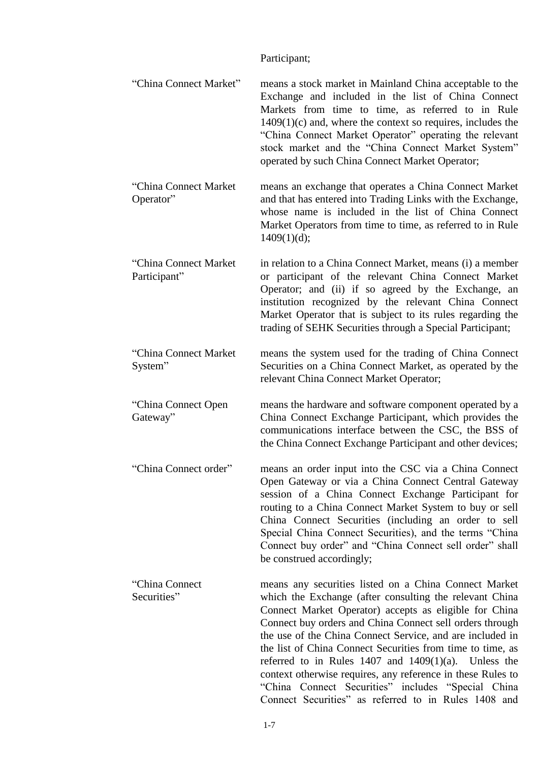# Participant;

| "China Connect Market"                | means a stock market in Mainland China acceptable to the<br>Exchange and included in the list of China Connect<br>Markets from time to time, as referred to in Rule<br>$1409(1)(c)$ and, where the context so requires, includes the<br>"China Connect Market Operator" operating the relevant<br>stock market and the "China Connect Market System"<br>operated by such China Connect Market Operator;                                                                                                                                                                                                      |
|---------------------------------------|--------------------------------------------------------------------------------------------------------------------------------------------------------------------------------------------------------------------------------------------------------------------------------------------------------------------------------------------------------------------------------------------------------------------------------------------------------------------------------------------------------------------------------------------------------------------------------------------------------------|
| "China Connect Market<br>Operator"    | means an exchange that operates a China Connect Market<br>and that has entered into Trading Links with the Exchange,<br>whose name is included in the list of China Connect<br>Market Operators from time to time, as referred to in Rule<br>1409(1)(d);                                                                                                                                                                                                                                                                                                                                                     |
| "China Connect Market<br>Participant" | in relation to a China Connect Market, means (i) a member<br>or participant of the relevant China Connect Market<br>Operator; and (ii) if so agreed by the Exchange, an<br>institution recognized by the relevant China Connect<br>Market Operator that is subject to its rules regarding the<br>trading of SEHK Securities through a Special Participant;                                                                                                                                                                                                                                                   |
| "China Connect Market<br>System"      | means the system used for the trading of China Connect<br>Securities on a China Connect Market, as operated by the<br>relevant China Connect Market Operator;                                                                                                                                                                                                                                                                                                                                                                                                                                                |
| "China Connect Open<br>Gateway"       | means the hardware and software component operated by a<br>China Connect Exchange Participant, which provides the<br>communications interface between the CSC, the BSS of<br>the China Connect Exchange Participant and other devices;                                                                                                                                                                                                                                                                                                                                                                       |
| "China Connect order"                 | means an order input into the CSC via a China Connect<br>Open Gateway or via a China Connect Central Gateway<br>session of a China Connect Exchange Participant for<br>routing to a China Connect Market System to buy or sell<br>China Connect Securities (including an order to sell<br>Special China Connect Securities), and the terms "China<br>Connect buy order" and "China Connect sell order" shall<br>be construed accordingly;                                                                                                                                                                    |
| "China Connect"<br>Securities"        | means any securities listed on a China Connect Market<br>which the Exchange (after consulting the relevant China<br>Connect Market Operator) accepts as eligible for China<br>Connect buy orders and China Connect sell orders through<br>the use of the China Connect Service, and are included in<br>the list of China Connect Securities from time to time, as<br>referred to in Rules $1407$ and $1409(1)(a)$ . Unless the<br>context otherwise requires, any reference in these Rules to<br>"China Connect Securities" includes "Special China"<br>Connect Securities" as referred to in Rules 1408 and |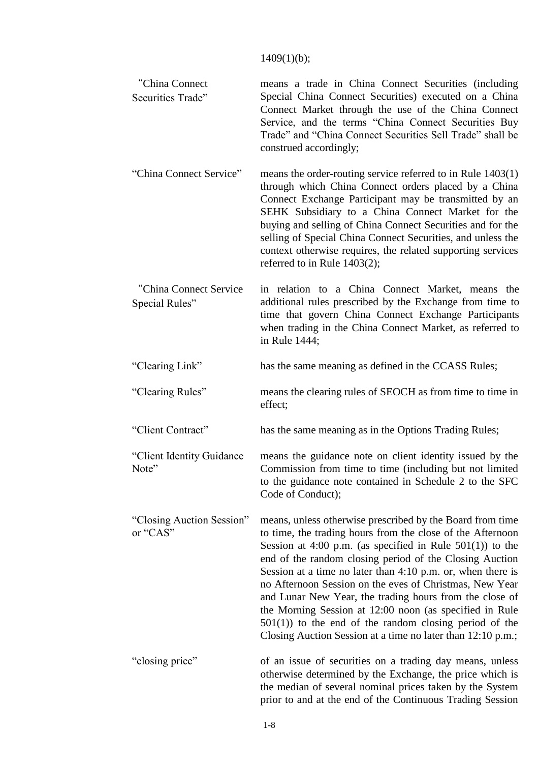## 1409(1)(b);

| "China Connect<br>Securities Trade"       | means a trade in China Connect Securities (including<br>Special China Connect Securities) executed on a China<br>Connect Market through the use of the China Connect<br>Service, and the terms "China Connect Securities Buy<br>Trade" and "China Connect Securities Sell Trade" shall be<br>construed accordingly;                                                                                                                                                                                                                                                                                                              |
|-------------------------------------------|----------------------------------------------------------------------------------------------------------------------------------------------------------------------------------------------------------------------------------------------------------------------------------------------------------------------------------------------------------------------------------------------------------------------------------------------------------------------------------------------------------------------------------------------------------------------------------------------------------------------------------|
| "China Connect Service"                   | means the order-routing service referred to in Rule $1403(1)$<br>through which China Connect orders placed by a China<br>Connect Exchange Participant may be transmitted by an<br>SEHK Subsidiary to a China Connect Market for the<br>buying and selling of China Connect Securities and for the<br>selling of Special China Connect Securities, and unless the<br>context otherwise requires, the related supporting services<br>referred to in Rule 1403(2);                                                                                                                                                                  |
| "China Connect Service"<br>Special Rules" | in relation to a China Connect Market, means the<br>additional rules prescribed by the Exchange from time to<br>time that govern China Connect Exchange Participants<br>when trading in the China Connect Market, as referred to<br>in Rule 1444;                                                                                                                                                                                                                                                                                                                                                                                |
| "Clearing Link"                           | has the same meaning as defined in the CCASS Rules;                                                                                                                                                                                                                                                                                                                                                                                                                                                                                                                                                                              |
| "Clearing Rules"                          | means the clearing rules of SEOCH as from time to time in<br>effect;                                                                                                                                                                                                                                                                                                                                                                                                                                                                                                                                                             |
| "Client Contract"                         | has the same meaning as in the Options Trading Rules;                                                                                                                                                                                                                                                                                                                                                                                                                                                                                                                                                                            |
| "Client Identity Guidance"<br>Note"       | means the guidance note on client identity issued by the<br>Commission from time to time (including but not limited<br>to the guidance note contained in Schedule 2 to the SFC<br>Code of Conduct);                                                                                                                                                                                                                                                                                                                                                                                                                              |
| "Closing Auction Session"<br>or "CAS"     | means, unless otherwise prescribed by the Board from time<br>to time, the trading hours from the close of the Afternoon<br>Session at 4:00 p.m. (as specified in Rule $501(1)$ ) to the<br>end of the random closing period of the Closing Auction<br>Session at a time no later than $4:10$ p.m. or, when there is<br>no Afternoon Session on the eves of Christmas, New Year<br>and Lunar New Year, the trading hours from the close of<br>the Morning Session at 12:00 noon (as specified in Rule<br>$501(1)$ ) to the end of the random closing period of the<br>Closing Auction Session at a time no later than 12:10 p.m.; |
| "closing price"                           | of an issue of securities on a trading day means, unless<br>otherwise determined by the Exchange, the price which is<br>the median of several nominal prices taken by the System<br>prior to and at the end of the Continuous Trading Session                                                                                                                                                                                                                                                                                                                                                                                    |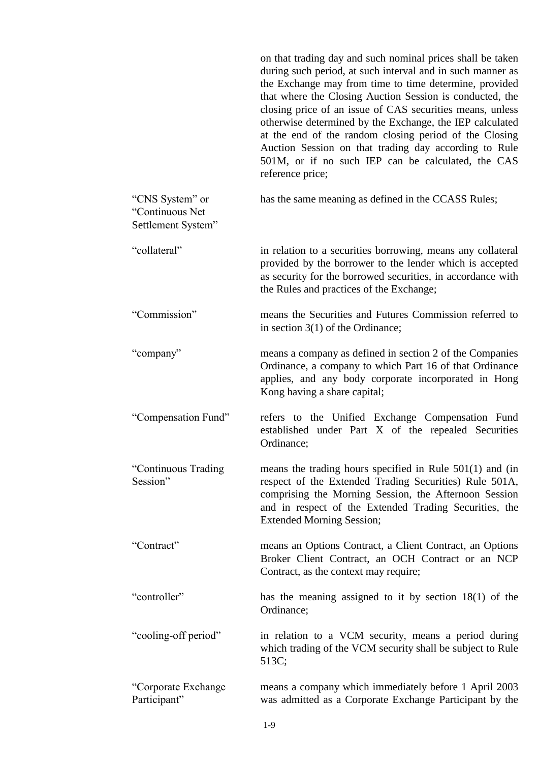|                                                          | on that trading day and such nominal prices shall be taken<br>during such period, at such interval and in such manner as<br>the Exchange may from time to time determine, provided<br>that where the Closing Auction Session is conducted, the<br>closing price of an issue of CAS securities means, unless<br>otherwise determined by the Exchange, the IEP calculated<br>at the end of the random closing period of the Closing<br>Auction Session on that trading day according to Rule<br>501M, or if no such IEP can be calculated, the CAS<br>reference price; |
|----------------------------------------------------------|----------------------------------------------------------------------------------------------------------------------------------------------------------------------------------------------------------------------------------------------------------------------------------------------------------------------------------------------------------------------------------------------------------------------------------------------------------------------------------------------------------------------------------------------------------------------|
| "CNS System" or<br>"Continuous Net<br>Settlement System" | has the same meaning as defined in the CCASS Rules;                                                                                                                                                                                                                                                                                                                                                                                                                                                                                                                  |
| "collateral"                                             | in relation to a securities borrowing, means any collateral<br>provided by the borrower to the lender which is accepted<br>as security for the borrowed securities, in accordance with<br>the Rules and practices of the Exchange;                                                                                                                                                                                                                                                                                                                                   |
| "Commission"                                             | means the Securities and Futures Commission referred to<br>in section $3(1)$ of the Ordinance;                                                                                                                                                                                                                                                                                                                                                                                                                                                                       |
| "company"                                                | means a company as defined in section 2 of the Companies<br>Ordinance, a company to which Part 16 of that Ordinance<br>applies, and any body corporate incorporated in Hong<br>Kong having a share capital;                                                                                                                                                                                                                                                                                                                                                          |
| "Compensation Fund"                                      | refers to the Unified Exchange Compensation Fund<br>established under Part X of the repealed Securities<br>Ordinance;                                                                                                                                                                                                                                                                                                                                                                                                                                                |
| "Continuous Trading<br>Session"                          | means the trading hours specified in Rule $501(1)$ and (in<br>respect of the Extended Trading Securities) Rule 501A,<br>comprising the Morning Session, the Afternoon Session<br>and in respect of the Extended Trading Securities, the<br><b>Extended Morning Session;</b>                                                                                                                                                                                                                                                                                          |
| "Contract"                                               | means an Options Contract, a Client Contract, an Options<br>Broker Client Contract, an OCH Contract or an NCP<br>Contract, as the context may require;                                                                                                                                                                                                                                                                                                                                                                                                               |
| "controller"                                             | has the meaning assigned to it by section $18(1)$ of the<br>Ordinance;                                                                                                                                                                                                                                                                                                                                                                                                                                                                                               |
| "cooling-off period"                                     | in relation to a VCM security, means a period during<br>which trading of the VCM security shall be subject to Rule<br>513C;                                                                                                                                                                                                                                                                                                                                                                                                                                          |
| "Corporate Exchange<br>Participant"                      | means a company which immediately before 1 April 2003<br>was admitted as a Corporate Exchange Participant by the                                                                                                                                                                                                                                                                                                                                                                                                                                                     |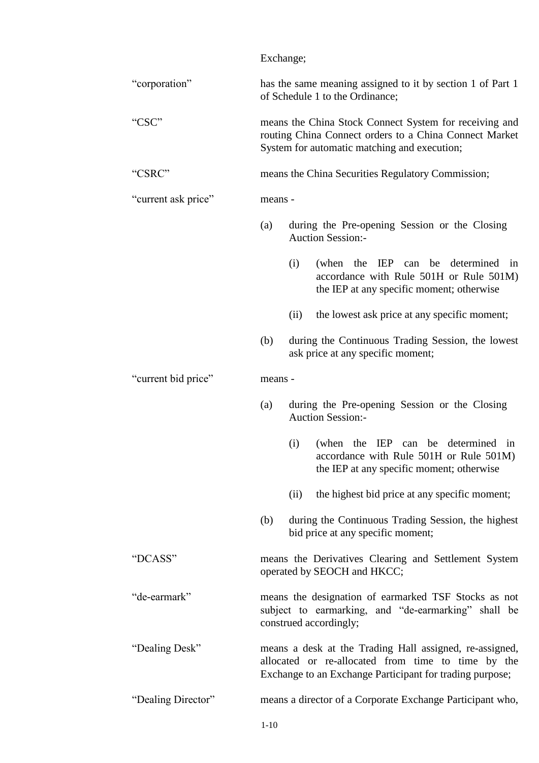|                     | Exchange;                                                                                                                                                                 |  |
|---------------------|---------------------------------------------------------------------------------------------------------------------------------------------------------------------------|--|
| "corporation"       | has the same meaning assigned to it by section 1 of Part 1<br>of Schedule 1 to the Ordinance;                                                                             |  |
| "CSC"               | means the China Stock Connect System for receiving and<br>routing China Connect orders to a China Connect Market<br>System for automatic matching and execution;          |  |
| "CSRC"              | means the China Securities Regulatory Commission;                                                                                                                         |  |
| "current ask price" | means -                                                                                                                                                                   |  |
|                     | during the Pre-opening Session or the Closing<br>(a)<br><b>Auction Session:-</b>                                                                                          |  |
|                     | (i)<br>(when the IEP can be determined in<br>accordance with Rule 501H or Rule 501M)<br>the IEP at any specific moment; otherwise                                         |  |
|                     | the lowest ask price at any specific moment;<br>(ii)                                                                                                                      |  |
|                     | during the Continuous Trading Session, the lowest<br>(b)<br>ask price at any specific moment;                                                                             |  |
| "current bid price" | means -                                                                                                                                                                   |  |
|                     | during the Pre-opening Session or the Closing<br>(a)<br><b>Auction Session:-</b>                                                                                          |  |
|                     | (when the IEP can be determined in<br>(i)<br>accordance with Rule 501H or Rule 501M)<br>the IEP at any specific moment; otherwise                                         |  |
|                     | the highest bid price at any specific moment;<br>(ii)                                                                                                                     |  |
|                     | during the Continuous Trading Session, the highest<br>(b)<br>bid price at any specific moment;                                                                            |  |
| "DCASS"             | means the Derivatives Clearing and Settlement System<br>operated by SEOCH and HKCC;                                                                                       |  |
| "de-earmark"        | means the designation of earmarked TSF Stocks as not<br>subject to earmarking, and "de-earmarking" shall be<br>construed accordingly;                                     |  |
| "Dealing Desk"      | means a desk at the Trading Hall assigned, re-assigned,<br>allocated or re-allocated from time to time by the<br>Exchange to an Exchange Participant for trading purpose; |  |
| "Dealing Director"  | means a director of a Corporate Exchange Participant who,                                                                                                                 |  |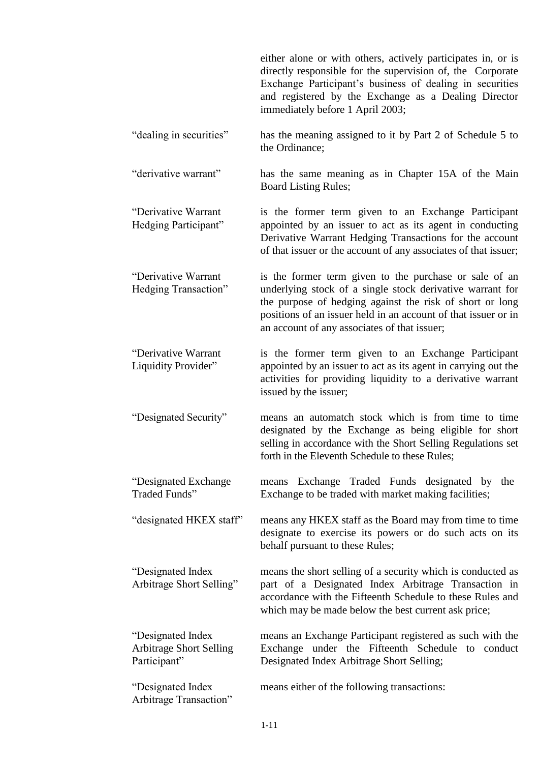either alone or with others, actively participates in, or is directly responsible for the supervision of, the Corporate Exchange Participant's business of dealing in securities and registered by the Exchange as a Dealing Director immediately before 1 April 2003;

"dealing in securities" has the meaning assigned to it by Part 2 of Schedule 5 to the Ordinance;

"derivative warrant" has the same meaning as in Chapter 15A of the Main Board Listing Rules;

"Derivative Warrant Hedging Participant" is the former term given to an Exchange Participant appointed by an issuer to act as its agent in conducting Derivative Warrant Hedging Transactions for the account of that issuer or the account of any associates of that issuer;

"Derivative Warrant Hedging Transaction" is the former term given to the purchase or sale of an underlying stock of a single stock derivative warrant for the purpose of hedging against the risk of short or long positions of an issuer held in an account of that issuer or in an account of any associates of that issuer;

"Derivative Warrant Liquidity Provider" is the former term given to an Exchange Participant appointed by an issuer to act as its agent in carrying out the activities for providing liquidity to a derivative warrant issued by the issuer;

"Designated Security" means an automatch stock which is from time to time designated by the Exchange as being eligible for short selling in accordance with the Short Selling Regulations set forth in the Eleventh Schedule to these Rules;

"Designated Exchange Traded Funds" means Exchange Traded Funds designated by the Exchange to be traded with market making facilities;

"designated HKEX staff" means any HKEX staff as the Board may from time to time designate to exercise its powers or do such acts on its behalf pursuant to these Rules;

> means the short selling of a security which is conducted as part of a Designated Index Arbitrage Transaction in accordance with the Fifteenth Schedule to these Rules and which may be made below the best current ask price;

"Designated Index Arbitrage Short Selling Participant" means an Exchange Participant registered as such with the Exchange under the Fifteenth Schedule to conduct Designated Index Arbitrage Short Selling;

"Designated Index Arbitrage Transaction" means either of the following transactions:

"Designated Index Arbitrage Short Selling"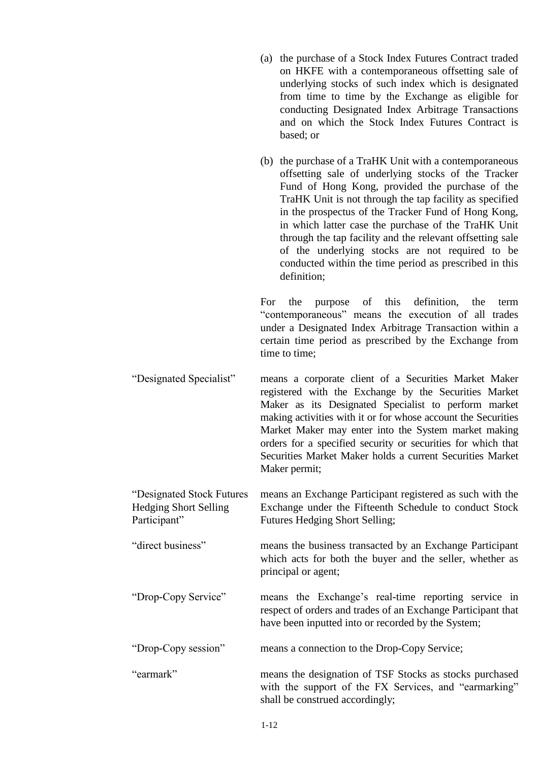- (a) the purchase of a Stock Index Futures Contract traded on HKFE with a contemporaneous offsetting sale of underlying stocks of such index which is designated from time to time by the Exchange as eligible for conducting Designated Index Arbitrage Transactions and on which the Stock Index Futures Contract is based; or
- (b) the purchase of a TraHK Unit with a contemporaneous offsetting sale of underlying stocks of the Tracker Fund of Hong Kong, provided the purchase of the TraHK Unit is not through the tap facility as specified in the prospectus of the Tracker Fund of Hong Kong, in which latter case the purchase of the TraHK Unit through the tap facility and the relevant offsetting sale of the underlying stocks are not required to be conducted within the time period as prescribed in this definition;

For the purpose of this definition, the term "contemporaneous" means the execution of all trades under a Designated Index Arbitrage Transaction within a certain time period as prescribed by the Exchange from time to time;

"Designated Specialist" means a corporate client of a Securities Market Maker registered with the Exchange by the Securities Market Maker as its Designated Specialist to perform market making activities with it or for whose account the Securities Market Maker may enter into the System market making orders for a specified security or securities for which that Securities Market Maker holds a current Securities Market Maker permit;

"Designated Stock Futures Hedging Short Selling Participant" means an Exchange Participant registered as such with the Exchange under the Fifteenth Schedule to conduct Stock Futures Hedging Short Selling;

"direct business" means the business transacted by an Exchange Participant which acts for both the buyer and the seller, whether as principal or agent;

"Drop-Copy Service" means the Exchange's real-time reporting service in respect of orders and trades of an Exchange Participant that have been inputted into or recorded by the System;

"Drop-Copy session" means a connection to the Drop-Copy Service;

"earmark" means the designation of TSF Stocks as stocks purchased with the support of the FX Services, and "earmarking" shall be construed accordingly;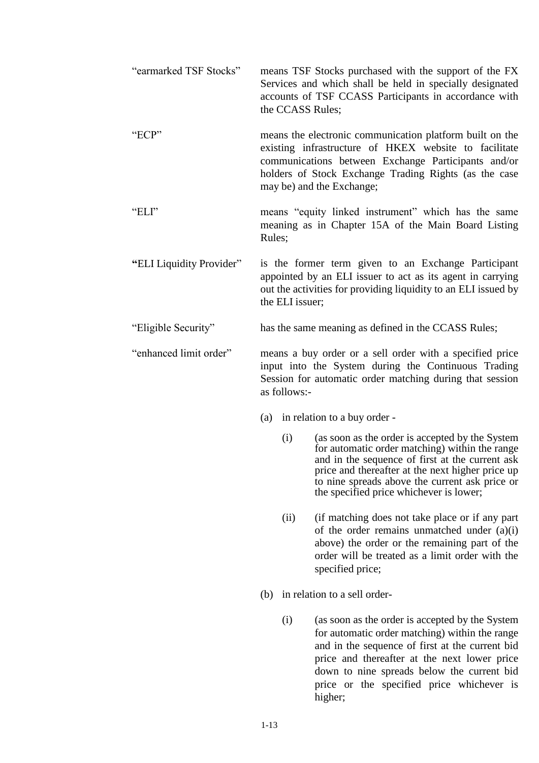| "earmarked TSF Stocks"   | the CCASS Rules;                                                                                                                                                                            | means TSF Stocks purchased with the support of the FX<br>Services and which shall be held in specially designated<br>accounts of TSF CCASS Participants in accordance with                                                                                                                                 |
|--------------------------|---------------------------------------------------------------------------------------------------------------------------------------------------------------------------------------------|------------------------------------------------------------------------------------------------------------------------------------------------------------------------------------------------------------------------------------------------------------------------------------------------------------|
| "ECP"                    |                                                                                                                                                                                             | means the electronic communication platform built on the<br>existing infrastructure of HKEX website to facilitate<br>communications between Exchange Participants and/or<br>holders of Stock Exchange Trading Rights (as the case<br>may be) and the Exchange;                                             |
| "ELI"                    | Rules;                                                                                                                                                                                      | means "equity linked instrument" which has the same<br>meaning as in Chapter 15A of the Main Board Listing                                                                                                                                                                                                 |
| "ELI Liquidity Provider" | the ELI issuer;                                                                                                                                                                             | is the former term given to an Exchange Participant<br>appointed by an ELI issuer to act as its agent in carrying<br>out the activities for providing liquidity to an ELI issued by                                                                                                                        |
| "Eligible Security"      |                                                                                                                                                                                             | has the same meaning as defined in the CCASS Rules;                                                                                                                                                                                                                                                        |
| "enhanced limit order"   | means a buy order or a sell order with a specified price<br>input into the System during the Continuous Trading<br>Session for automatic order matching during that session<br>as follows:- |                                                                                                                                                                                                                                                                                                            |
|                          |                                                                                                                                                                                             | (a) in relation to a buy order -                                                                                                                                                                                                                                                                           |
|                          | (i)                                                                                                                                                                                         | (as soon as the order is accepted by the System<br>for automatic order matching) within the range<br>and in the sequence of first at the current ask<br>price and thereafter at the next higher price up<br>to nine spreads above the current ask price or<br>the specified price whichever is lower;      |
|                          | (ii)                                                                                                                                                                                        | (if matching does not take place or if any part<br>of the order remains unmatched under $(a)(i)$<br>above) the order or the remaining part of the<br>order will be treated as a limit order with the<br>specified price;                                                                                   |
|                          |                                                                                                                                                                                             | (b) in relation to a sell order-                                                                                                                                                                                                                                                                           |
|                          | (i)                                                                                                                                                                                         | (as soon as the order is accepted by the System<br>for automatic order matching) within the range<br>and in the sequence of first at the current bid<br>price and thereafter at the next lower price<br>down to nine spreads below the current bid<br>price or the specified price whichever is<br>higher; |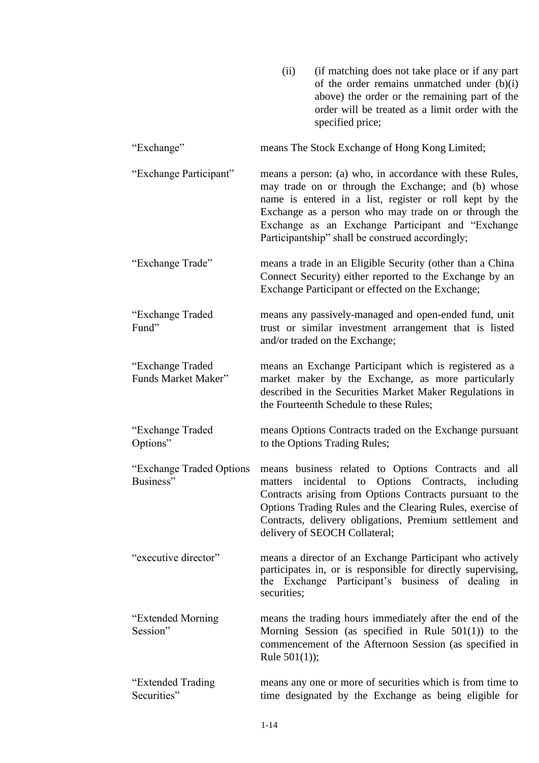|                                         | (ii)            | (if matching does not take place or if any part<br>of the order remains unmatched under (b)(i)<br>above) the order or the remaining part of the<br>order will be treated as a limit order with the<br>specified price;                                                                                                                      |
|-----------------------------------------|-----------------|---------------------------------------------------------------------------------------------------------------------------------------------------------------------------------------------------------------------------------------------------------------------------------------------------------------------------------------------|
| "Exchange"                              |                 | means The Stock Exchange of Hong Kong Limited;                                                                                                                                                                                                                                                                                              |
| "Exchange Participant"                  |                 | means a person: (a) who, in accordance with these Rules,<br>may trade on or through the Exchange; and (b) whose<br>name is entered in a list, register or roll kept by the<br>Exchange as a person who may trade on or through the<br>Exchange as an Exchange Participant and "Exchange<br>Participantship" shall be construed accordingly; |
| "Exchange Trade"                        |                 | means a trade in an Eligible Security (other than a China<br>Connect Security) either reported to the Exchange by an<br>Exchange Participant or effected on the Exchange;                                                                                                                                                                   |
| "Exchange Traded<br>Fund"               |                 | means any passively-managed and open-ended fund, unit<br>trust or similar investment arrangement that is listed<br>and/or traded on the Exchange;                                                                                                                                                                                           |
| "Exchange Traded<br>Funds Market Maker" |                 | means an Exchange Participant which is registered as a<br>market maker by the Exchange, as more particularly<br>described in the Securities Market Maker Regulations in<br>the Fourteenth Schedule to these Rules;                                                                                                                          |
| "Exchange Traded<br>Options"            |                 | means Options Contracts traded on the Exchange pursuant<br>to the Options Trading Rules;                                                                                                                                                                                                                                                    |
| "Exchange Traded Options"<br>Business"  |                 | means business related to Options Contracts and all<br>matters incidental to Options Contracts, including<br>Contracts arising from Options Contracts pursuant to the<br>Options Trading Rules and the Clearing Rules, exercise of<br>Contracts, delivery obligations, Premium settlement and<br>delivery of SEOCH Collateral;              |
| "executive director"                    | securities;     | means a director of an Exchange Participant who actively<br>participates in, or is responsible for directly supervising,<br>the Exchange Participant's business of dealing in                                                                                                                                                               |
| "Extended Morning"<br>Session"          | Rule $501(1)$ ; | means the trading hours immediately after the end of the<br>Morning Session (as specified in Rule $501(1)$ ) to the<br>commencement of the Afternoon Session (as specified in                                                                                                                                                               |
| "Extended Trading<br>Securities"        |                 | means any one or more of securities which is from time to<br>time designated by the Exchange as being eligible for                                                                                                                                                                                                                          |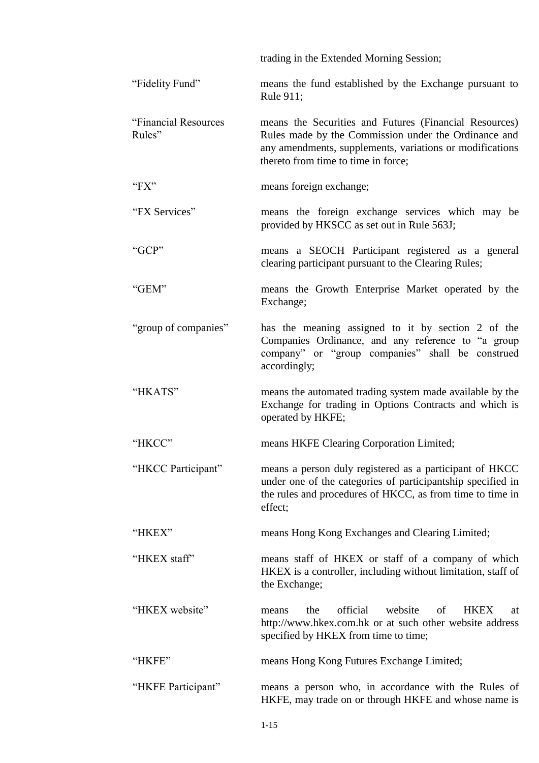|                                | trading in the Extended Morning Session;                                                                                                                                                                          |
|--------------------------------|-------------------------------------------------------------------------------------------------------------------------------------------------------------------------------------------------------------------|
| "Fidelity Fund"                | means the fund established by the Exchange pursuant to<br>Rule 911;                                                                                                                                               |
| "Financial Resources<br>Rules" | means the Securities and Futures (Financial Resources)<br>Rules made by the Commission under the Ordinance and<br>any amendments, supplements, variations or modifications<br>thereto from time to time in force; |
| " $FX"$                        | means foreign exchange;                                                                                                                                                                                           |
| "FX Services"                  | means the foreign exchange services which may be<br>provided by HKSCC as set out in Rule 563J;                                                                                                                    |
| "GCP"                          | means a SEOCH Participant registered as a general<br>clearing participant pursuant to the Clearing Rules;                                                                                                         |
| "GEM"                          | means the Growth Enterprise Market operated by the<br>Exchange;                                                                                                                                                   |
| "group of companies"           | has the meaning assigned to it by section 2 of the<br>Companies Ordinance, and any reference to "a group<br>company" or "group companies" shall be construed<br>accordingly;                                      |
| "HKATS"                        | means the automated trading system made available by the<br>Exchange for trading in Options Contracts and which is<br>operated by HKFE;                                                                           |
| "HKCC"                         | means HKFE Clearing Corporation Limited;                                                                                                                                                                          |
| "HKCC Participant"             | means a person duly registered as a participant of HKCC<br>under one of the categories of participantship specified in<br>the rules and procedures of HKCC, as from time to time in<br>effect;                    |
| "HKEX"                         | means Hong Kong Exchanges and Clearing Limited;                                                                                                                                                                   |
| "HKEX staff"                   | means staff of HKEX or staff of a company of which<br>HKEX is a controller, including without limitation, staff of<br>the Exchange;                                                                               |
| "HKEX website"                 | official<br>website<br>of<br><b>HKEX</b><br>the<br>means<br>at<br>http://www.hkex.com.hk or at such other website address<br>specified by HKEX from time to time;                                                 |
| "HKFE"                         | means Hong Kong Futures Exchange Limited;                                                                                                                                                                         |
| "HKFE Participant"             | means a person who, in accordance with the Rules of<br>HKFE, may trade on or through HKFE and whose name is                                                                                                       |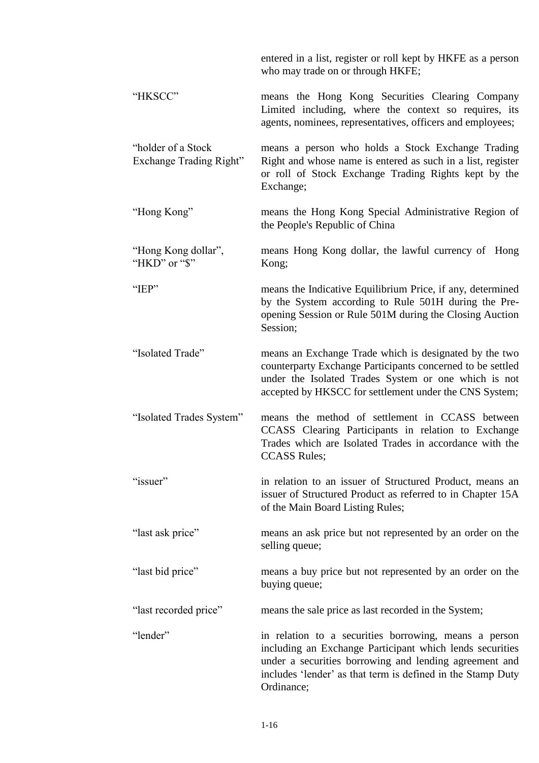|                                                | entered in a list, register or roll kept by HKFE as a person<br>who may trade on or through HKFE;                                                                                                                                                        |
|------------------------------------------------|----------------------------------------------------------------------------------------------------------------------------------------------------------------------------------------------------------------------------------------------------------|
| "HKSCC"                                        | means the Hong Kong Securities Clearing Company<br>Limited including, where the context so requires, its<br>agents, nominees, representatives, officers and employees;                                                                                   |
| "holder of a Stock"<br>Exchange Trading Right" | means a person who holds a Stock Exchange Trading<br>Right and whose name is entered as such in a list, register<br>or roll of Stock Exchange Trading Rights kept by the<br>Exchange;                                                                    |
| "Hong Kong"                                    | means the Hong Kong Special Administrative Region of<br>the People's Republic of China                                                                                                                                                                   |
| "Hong Kong dollar",<br>"HKD" or "\$"           | means Hong Kong dollar, the lawful currency of Hong<br>Kong;                                                                                                                                                                                             |
| "IEP"                                          | means the Indicative Equilibrium Price, if any, determined<br>by the System according to Rule 501H during the Pre-<br>opening Session or Rule 501M during the Closing Auction<br>Session;                                                                |
| "Isolated Trade"                               | means an Exchange Trade which is designated by the two<br>counterparty Exchange Participants concerned to be settled<br>under the Isolated Trades System or one which is not<br>accepted by HKSCC for settlement under the CNS System;                   |
| "Isolated Trades System"                       | means the method of settlement in CCASS between<br>CCASS Clearing Participants in relation to Exchange<br>Trades which are Isolated Trades in accordance with the<br><b>CCASS Rules;</b>                                                                 |
| "issuer"                                       | in relation to an issuer of Structured Product, means an<br>issuer of Structured Product as referred to in Chapter 15A<br>of the Main Board Listing Rules;                                                                                               |
| "last ask price"                               | means an ask price but not represented by an order on the<br>selling queue;                                                                                                                                                                              |
| "last bid price"                               | means a buy price but not represented by an order on the<br>buying queue;                                                                                                                                                                                |
| "last recorded price"                          | means the sale price as last recorded in the System;                                                                                                                                                                                                     |
| "lender"                                       | in relation to a securities borrowing, means a person<br>including an Exchange Participant which lends securities<br>under a securities borrowing and lending agreement and<br>includes 'lender' as that term is defined in the Stamp Duty<br>Ordinance; |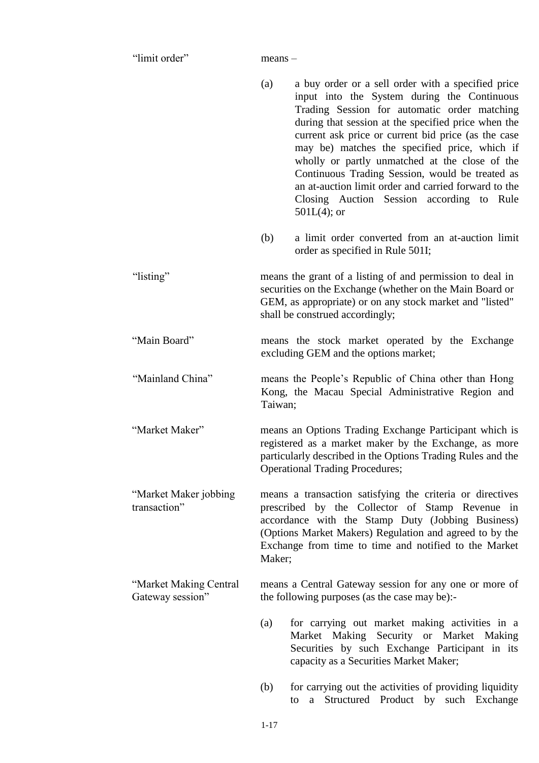"limit order" means –

|                                            | (a)     | a buy order or a sell order with a specified price<br>input into the System during the Continuous<br>Trading Session for automatic order matching<br>during that session at the specified price when the<br>current ask price or current bid price (as the case<br>may be) matches the specified price, which if<br>wholly or partly unmatched at the close of the<br>Continuous Trading Session, would be treated as<br>an at-auction limit order and carried forward to the<br>Closing Auction Session according to Rule<br>$501L(4)$ ; or |
|--------------------------------------------|---------|----------------------------------------------------------------------------------------------------------------------------------------------------------------------------------------------------------------------------------------------------------------------------------------------------------------------------------------------------------------------------------------------------------------------------------------------------------------------------------------------------------------------------------------------|
|                                            | (b)     | a limit order converted from an at-auction limit<br>order as specified in Rule 501I;                                                                                                                                                                                                                                                                                                                                                                                                                                                         |
| "listing"                                  |         | means the grant of a listing of and permission to deal in<br>securities on the Exchange (whether on the Main Board or<br>GEM, as appropriate) or on any stock market and "listed"<br>shall be construed accordingly;                                                                                                                                                                                                                                                                                                                         |
| "Main Board"                               |         | means the stock market operated by the Exchange<br>excluding GEM and the options market;                                                                                                                                                                                                                                                                                                                                                                                                                                                     |
| "Mainland China"                           | Taiwan; | means the People's Republic of China other than Hong<br>Kong, the Macau Special Administrative Region and                                                                                                                                                                                                                                                                                                                                                                                                                                    |
| "Market Maker"                             |         | means an Options Trading Exchange Participant which is<br>registered as a market maker by the Exchange, as more<br>particularly described in the Options Trading Rules and the<br><b>Operational Trading Procedures;</b>                                                                                                                                                                                                                                                                                                                     |
| "Market Maker jobbing<br>transaction"      | Maker;  | means a transaction satisfying the criteria or directives<br>prescribed by the Collector of Stamp Revenue in<br>accordance with the Stamp Duty (Jobbing Business)<br>(Options Market Makers) Regulation and agreed to by the<br>Exchange from time to time and notified to the Market                                                                                                                                                                                                                                                        |
| "Market Making Central<br>Gateway session" |         | means a Central Gateway session for any one or more of<br>the following purposes (as the case may be):-                                                                                                                                                                                                                                                                                                                                                                                                                                      |
|                                            | (a)     | for carrying out market making activities in a<br>Market Making Security or Market Making<br>Securities by such Exchange Participant in its<br>capacity as a Securities Market Maker;                                                                                                                                                                                                                                                                                                                                                        |
|                                            | (b)     | for carrying out the activities of providing liquidity<br>Structured Product by such Exchange<br>to<br>a                                                                                                                                                                                                                                                                                                                                                                                                                                     |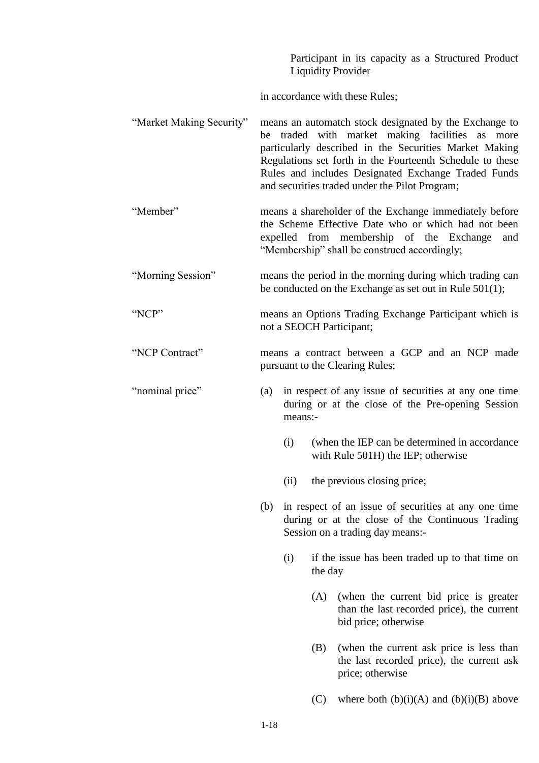|                          | Participant in its capacity as a Structured Product<br><b>Liquidity Provider</b>                                                                                                                                                                                                                                                             |      |         |                                                                                                                                              |  |  |
|--------------------------|----------------------------------------------------------------------------------------------------------------------------------------------------------------------------------------------------------------------------------------------------------------------------------------------------------------------------------------------|------|---------|----------------------------------------------------------------------------------------------------------------------------------------------|--|--|
|                          | in accordance with these Rules;                                                                                                                                                                                                                                                                                                              |      |         |                                                                                                                                              |  |  |
| "Market Making Security" | means an automatch stock designated by the Exchange to<br>be traded with market making facilities as<br>more<br>particularly described in the Securities Market Making<br>Regulations set forth in the Fourteenth Schedule to these<br>Rules and includes Designated Exchange Traded Funds<br>and securities traded under the Pilot Program; |      |         |                                                                                                                                              |  |  |
| "Member"                 | means a shareholder of the Exchange immediately before<br>the Scheme Effective Date who or which had not been<br>expelled from membership of the Exchange<br>and<br>"Membership" shall be construed accordingly;                                                                                                                             |      |         |                                                                                                                                              |  |  |
| "Morning Session"        | means the period in the morning during which trading can<br>be conducted on the Exchange as set out in Rule $501(1)$ ;                                                                                                                                                                                                                       |      |         |                                                                                                                                              |  |  |
| "NCP"                    | means an Options Trading Exchange Participant which is<br>not a SEOCH Participant;                                                                                                                                                                                                                                                           |      |         |                                                                                                                                              |  |  |
| "NCP Contract"           | means a contract between a GCP and an NCP made<br>pursuant to the Clearing Rules;                                                                                                                                                                                                                                                            |      |         |                                                                                                                                              |  |  |
| "nominal price"          | in respect of any issue of securities at any one time<br>(a)<br>during or at the close of the Pre-opening Session<br>means:-                                                                                                                                                                                                                 |      |         |                                                                                                                                              |  |  |
|                          |                                                                                                                                                                                                                                                                                                                                              | (i)  |         | (when the IEP can be determined in accordance)<br>with Rule 501H) the IEP; otherwise                                                         |  |  |
|                          |                                                                                                                                                                                                                                                                                                                                              | (ii) |         | the previous closing price;                                                                                                                  |  |  |
|                          | (b)                                                                                                                                                                                                                                                                                                                                          |      |         | in respect of an issue of securities at any one time<br>during or at the close of the Continuous Trading<br>Session on a trading day means:- |  |  |
|                          |                                                                                                                                                                                                                                                                                                                                              | (i)  | the day | if the issue has been traded up to that time on                                                                                              |  |  |
|                          |                                                                                                                                                                                                                                                                                                                                              |      | (A)     | (when the current bid price is greater)<br>than the last recorded price), the current<br>bid price; otherwise                                |  |  |
|                          |                                                                                                                                                                                                                                                                                                                                              |      | (B)     | (when the current ask price is less than<br>the last recorded price), the current ask<br>price; otherwise                                    |  |  |
|                          |                                                                                                                                                                                                                                                                                                                                              |      | (C)     | where both $(b)(i)(A)$ and $(b)(i)(B)$ above                                                                                                 |  |  |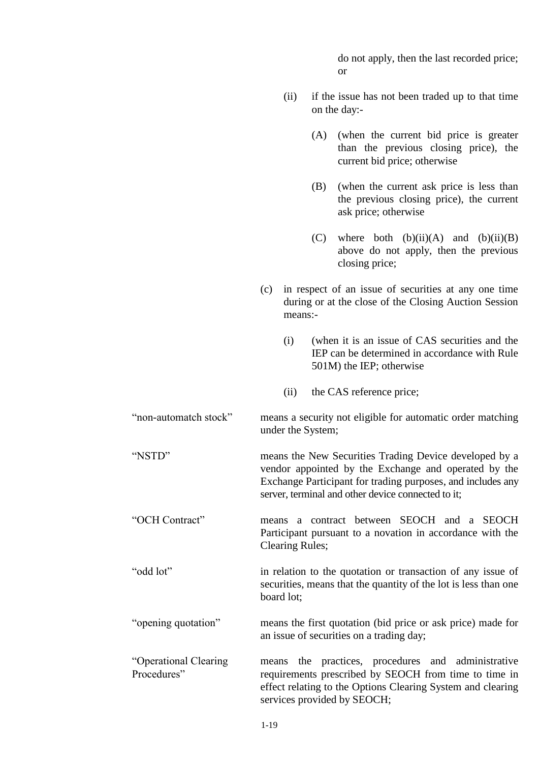do not apply, then the last recorded price; or

- (ii) if the issue has not been traded up to that time on the day:-
	- (A) (when the current bid price is greater than the previous closing price), the current bid price; otherwise
	- (B) (when the current ask price is less than the previous closing price), the current ask price; otherwise
	- (C) where both  $(b)(ii)(A)$  and  $(b)(ii)(B)$ above do not apply, then the previous closing price;
- (c) in respect of an issue of securities at any one time during or at the close of the Closing Auction Session means:-
	- (i) (when it is an issue of CAS securities and the IEP can be determined in accordance with Rule 501M) the IEP; otherwise
	- (ii) the CAS reference price;

"non-automatch stock" means a security not eligible for automatic order matching under the System;

"NSTD" means the New Securities Trading Device developed by a vendor appointed by the Exchange and operated by the Exchange Participant for trading purposes, and includes any server, terminal and other device connected to it:

"OCH Contract" means a contract between SEOCH and a SEOCH Participant pursuant to a novation in accordance with the Clearing Rules;

"odd lot" in relation to the quotation or transaction of any issue of securities, means that the quantity of the lot is less than one board lot;

"opening quotation" means the first quotation (bid price or ask price) made for an issue of securities on a trading day;

"Operational Clearing Procedures" means the practices, procedures and administrative requirements prescribed by SEOCH from time to time in effect relating to the Options Clearing System and clearing services provided by SEOCH;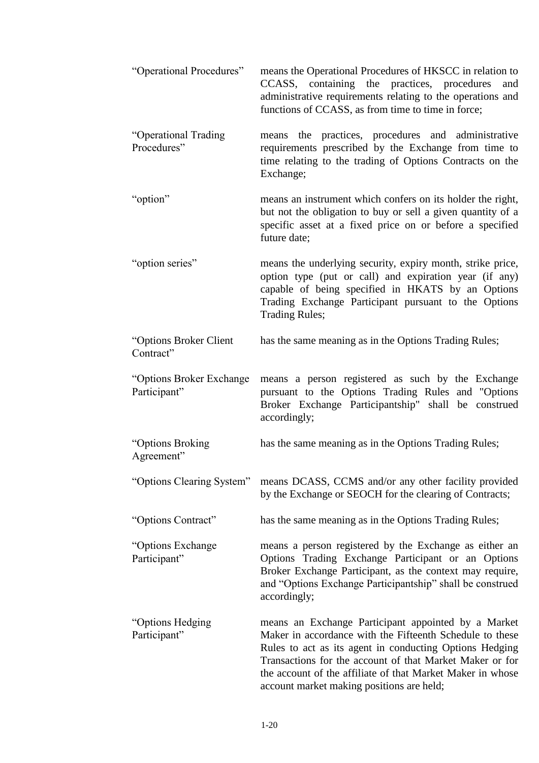| "Operational Procedures"                  | means the Operational Procedures of HKSCC in relation to<br>CCASS, containing the practices, procedures<br>and<br>administrative requirements relating to the operations and<br>functions of CCASS, as from time to time in force;                                                                                                                |
|-------------------------------------------|---------------------------------------------------------------------------------------------------------------------------------------------------------------------------------------------------------------------------------------------------------------------------------------------------------------------------------------------------|
| "Operational Trading<br>Procedures"       | means the practices, procedures and administrative<br>requirements prescribed by the Exchange from time to<br>time relating to the trading of Options Contracts on the<br>Exchange;                                                                                                                                                               |
| "option"                                  | means an instrument which confers on its holder the right,<br>but not the obligation to buy or sell a given quantity of a<br>specific asset at a fixed price on or before a specified<br>future date;                                                                                                                                             |
| "option series"                           | means the underlying security, expiry month, strike price,<br>option type (put or call) and expiration year (if any)<br>capable of being specified in HKATS by an Options<br>Trading Exchange Participant pursuant to the Options<br><b>Trading Rules;</b>                                                                                        |
| "Options Broker Client<br>Contract"       | has the same meaning as in the Options Trading Rules;                                                                                                                                                                                                                                                                                             |
| "Options Broker Exchange"<br>Participant" | means a person registered as such by the Exchange<br>pursuant to the Options Trading Rules and "Options"<br>Broker Exchange Participantship" shall be construed<br>accordingly;                                                                                                                                                                   |
| "Options Broking<br>Agreement"            | has the same meaning as in the Options Trading Rules;                                                                                                                                                                                                                                                                                             |
| "Options Clearing System"                 | means DCASS, CCMS and/or any other facility provided<br>by the Exchange or SEOCH for the clearing of Contracts;                                                                                                                                                                                                                                   |
| "Options Contract"                        | has the same meaning as in the Options Trading Rules;                                                                                                                                                                                                                                                                                             |
| "Options Exchange"<br>Participant"        | means a person registered by the Exchange as either an<br>Options Trading Exchange Participant or an Options<br>Broker Exchange Participant, as the context may require,<br>and "Options Exchange Participantship" shall be construed<br>accordingly;                                                                                             |
| "Options Hedging<br>Participant"          | means an Exchange Participant appointed by a Market<br>Maker in accordance with the Fifteenth Schedule to these<br>Rules to act as its agent in conducting Options Hedging<br>Transactions for the account of that Market Maker or for<br>the account of the affiliate of that Market Maker in whose<br>account market making positions are held; |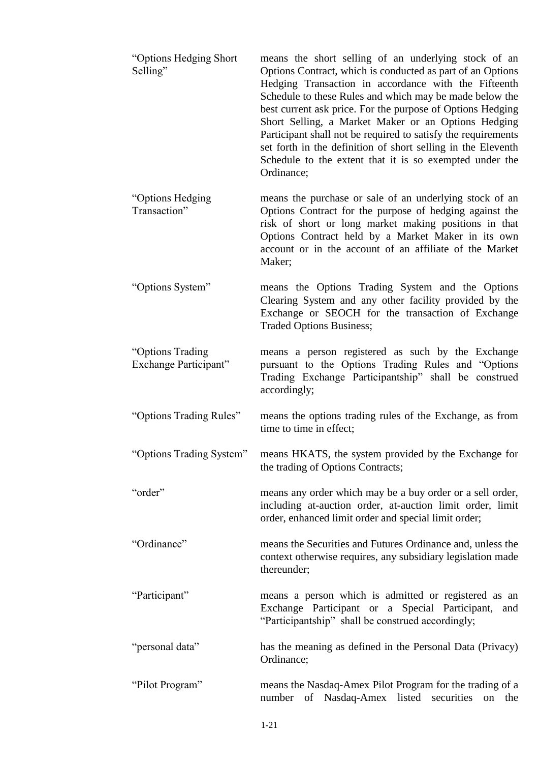| "Options Hedging Short"<br>Selling"       | means the short selling of an underlying stock of an<br>Options Contract, which is conducted as part of an Options<br>Hedging Transaction in accordance with the Fifteenth<br>Schedule to these Rules and which may be made below the<br>best current ask price. For the purpose of Options Hedging<br>Short Selling, a Market Maker or an Options Hedging<br>Participant shall not be required to satisfy the requirements<br>set forth in the definition of short selling in the Eleventh<br>Schedule to the extent that it is so exempted under the<br>Ordinance; |
|-------------------------------------------|----------------------------------------------------------------------------------------------------------------------------------------------------------------------------------------------------------------------------------------------------------------------------------------------------------------------------------------------------------------------------------------------------------------------------------------------------------------------------------------------------------------------------------------------------------------------|
| "Options Hedging<br>Transaction"          | means the purchase or sale of an underlying stock of an<br>Options Contract for the purpose of hedging against the<br>risk of short or long market making positions in that<br>Options Contract held by a Market Maker in its own<br>account or in the account of an affiliate of the Market<br>Maker;                                                                                                                                                                                                                                                               |
| "Options System"                          | means the Options Trading System and the Options<br>Clearing System and any other facility provided by the<br>Exchange or SEOCH for the transaction of Exchange<br>Traded Options Business;                                                                                                                                                                                                                                                                                                                                                                          |
| "Options Trading<br>Exchange Participant" | means a person registered as such by the Exchange<br>pursuant to the Options Trading Rules and "Options"<br>Trading Exchange Participantship" shall be construed<br>accordingly;                                                                                                                                                                                                                                                                                                                                                                                     |
| "Options Trading Rules"                   | means the options trading rules of the Exchange, as from<br>time to time in effect;                                                                                                                                                                                                                                                                                                                                                                                                                                                                                  |
| "Options Trading System"                  | means HKATS, the system provided by the Exchange for<br>the trading of Options Contracts;                                                                                                                                                                                                                                                                                                                                                                                                                                                                            |
| "order"                                   | means any order which may be a buy order or a sell order,<br>including at-auction order, at-auction limit order, limit<br>order, enhanced limit order and special limit order;                                                                                                                                                                                                                                                                                                                                                                                       |
| "Ordinance"                               | means the Securities and Futures Ordinance and, unless the<br>context otherwise requires, any subsidiary legislation made<br>thereunder;                                                                                                                                                                                                                                                                                                                                                                                                                             |
| "Participant"                             | means a person which is admitted or registered as an<br>Exchange Participant or a Special Participant, and<br>"Participantship" shall be construed accordingly;                                                                                                                                                                                                                                                                                                                                                                                                      |
| "personal data"                           | has the meaning as defined in the Personal Data (Privacy)<br>Ordinance;                                                                                                                                                                                                                                                                                                                                                                                                                                                                                              |
| "Pilot Program"                           | means the Nasdaq-Amex Pilot Program for the trading of a<br>of Nasdaq-Amex listed securities<br>number<br>on<br>the                                                                                                                                                                                                                                                                                                                                                                                                                                                  |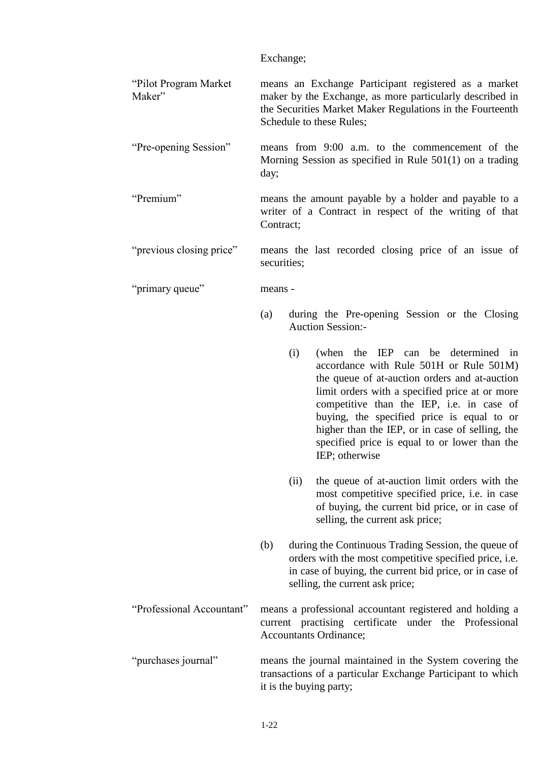|                                 | Exchange;   |                                                                                                                                                                                                                                                                                                                                                                                                   |  |
|---------------------------------|-------------|---------------------------------------------------------------------------------------------------------------------------------------------------------------------------------------------------------------------------------------------------------------------------------------------------------------------------------------------------------------------------------------------------|--|
| "Pilot Program Market<br>Maker" |             | means an Exchange Participant registered as a market<br>maker by the Exchange, as more particularly described in<br>the Securities Market Maker Regulations in the Fourteenth<br>Schedule to these Rules;                                                                                                                                                                                         |  |
| "Pre-opening Session"           | day;        | means from 9:00 a.m. to the commencement of the<br>Morning Session as specified in Rule $501(1)$ on a trading                                                                                                                                                                                                                                                                                     |  |
| "Premium"                       | Contract;   | means the amount payable by a holder and payable to a<br>writer of a Contract in respect of the writing of that                                                                                                                                                                                                                                                                                   |  |
| "previous closing price"        | securities; | means the last recorded closing price of an issue of                                                                                                                                                                                                                                                                                                                                              |  |
| "primary queue"                 | means -     |                                                                                                                                                                                                                                                                                                                                                                                                   |  |
|                                 | (a)         | during the Pre-opening Session or the Closing<br><b>Auction Session:-</b>                                                                                                                                                                                                                                                                                                                         |  |
|                                 | (i)         | (when the IEP can be determined in<br>accordance with Rule 501H or Rule 501M)<br>the queue of at-auction orders and at-auction<br>limit orders with a specified price at or more<br>competitive than the IEP, i.e. in case of<br>buying, the specified price is equal to or<br>higher than the IEP, or in case of selling, the<br>specified price is equal to or lower than the<br>IEP; otherwise |  |
|                                 | (ii)        | the queue of at-auction limit orders with the<br>most competitive specified price, i.e. in case<br>of buying, the current bid price, or in case of<br>selling, the current ask price;                                                                                                                                                                                                             |  |
|                                 | (b)         | during the Continuous Trading Session, the queue of<br>orders with the most competitive specified price, i.e.<br>in case of buying, the current bid price, or in case of<br>selling, the current ask price;                                                                                                                                                                                       |  |
| "Professional Accountant"       |             | means a professional accountant registered and holding a<br>current practising certificate under the Professional<br><b>Accountants Ordinance;</b>                                                                                                                                                                                                                                                |  |
| "purchases journal"             |             | means the journal maintained in the System covering the<br>transactions of a particular Exchange Participant to which<br>it is the buying party;                                                                                                                                                                                                                                                  |  |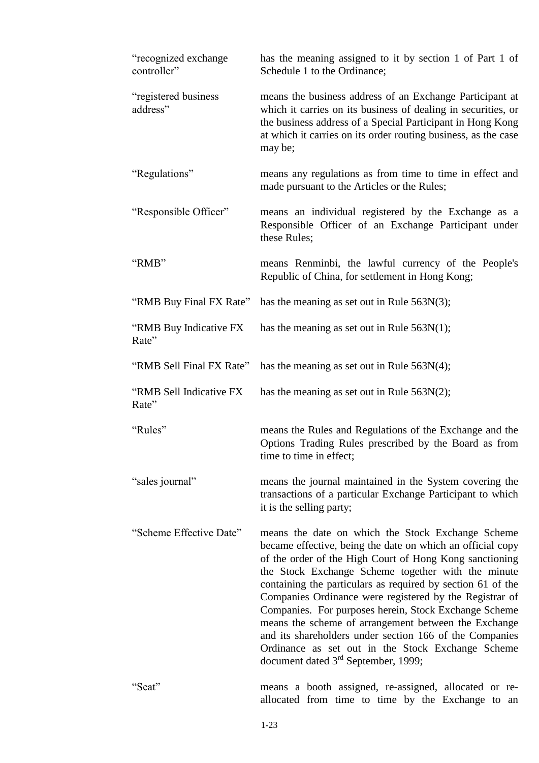| "recognized exchange"<br>controller" | has the meaning assigned to it by section 1 of Part 1 of<br>Schedule 1 to the Ordinance;                                                                                                                                                                                                                                                                                                                                                                                                                                                                                                                                                       |  |  |
|--------------------------------------|------------------------------------------------------------------------------------------------------------------------------------------------------------------------------------------------------------------------------------------------------------------------------------------------------------------------------------------------------------------------------------------------------------------------------------------------------------------------------------------------------------------------------------------------------------------------------------------------------------------------------------------------|--|--|
| "registered business<br>address"     | means the business address of an Exchange Participant at<br>which it carries on its business of dealing in securities, or<br>the business address of a Special Participant in Hong Kong<br>at which it carries on its order routing business, as the case<br>may be;                                                                                                                                                                                                                                                                                                                                                                           |  |  |
| "Regulations"                        | means any regulations as from time to time in effect and<br>made pursuant to the Articles or the Rules;                                                                                                                                                                                                                                                                                                                                                                                                                                                                                                                                        |  |  |
| "Responsible Officer"                | means an individual registered by the Exchange as a<br>Responsible Officer of an Exchange Participant under<br>these Rules;                                                                                                                                                                                                                                                                                                                                                                                                                                                                                                                    |  |  |
| "RMB"                                | means Renminbi, the lawful currency of the People's<br>Republic of China, for settlement in Hong Kong;                                                                                                                                                                                                                                                                                                                                                                                                                                                                                                                                         |  |  |
| "RMB Buy Final FX Rate"              | has the meaning as set out in Rule $563N(3)$ ;                                                                                                                                                                                                                                                                                                                                                                                                                                                                                                                                                                                                 |  |  |
| "RMB Buy Indicative FX<br>Rate"      | has the meaning as set out in Rule $563N(1)$ ;                                                                                                                                                                                                                                                                                                                                                                                                                                                                                                                                                                                                 |  |  |
| "RMB Sell Final FX Rate"             | has the meaning as set out in Rule $563N(4)$ ;                                                                                                                                                                                                                                                                                                                                                                                                                                                                                                                                                                                                 |  |  |
| "RMB Sell Indicative FX<br>Rate"     | has the meaning as set out in Rule $563N(2)$ ;                                                                                                                                                                                                                                                                                                                                                                                                                                                                                                                                                                                                 |  |  |
| "Rules"                              | means the Rules and Regulations of the Exchange and the<br>Options Trading Rules prescribed by the Board as from<br>time to time in effect;                                                                                                                                                                                                                                                                                                                                                                                                                                                                                                    |  |  |
| "sales journal"                      | means the journal maintained in the System covering the<br>transactions of a particular Exchange Participant to which<br>it is the selling party;                                                                                                                                                                                                                                                                                                                                                                                                                                                                                              |  |  |
| "Scheme Effective Date"              | means the date on which the Stock Exchange Scheme<br>became effective, being the date on which an official copy<br>of the order of the High Court of Hong Kong sanctioning<br>the Stock Exchange Scheme together with the minute<br>containing the particulars as required by section 61 of the<br>Companies Ordinance were registered by the Registrar of<br>Companies. For purposes herein, Stock Exchange Scheme<br>means the scheme of arrangement between the Exchange<br>and its shareholders under section 166 of the Companies<br>Ordinance as set out in the Stock Exchange Scheme<br>document dated 3 <sup>rd</sup> September, 1999; |  |  |
| "Seat"                               | means a booth assigned, re-assigned, allocated or re-<br>allocated from time to time by the Exchange to an                                                                                                                                                                                                                                                                                                                                                                                                                                                                                                                                     |  |  |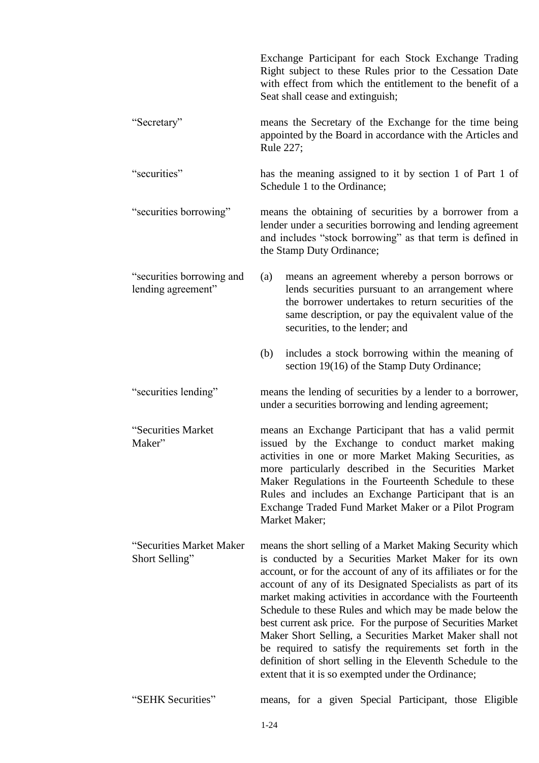|                                                 | Exchange Participant for each Stock Exchange Trading<br>Right subject to these Rules prior to the Cessation Date<br>with effect from which the entitlement to the benefit of a<br>Seat shall cease and extinguish;                                                                                                                                                                                                                                                                                                                                                                                                                                                                         |  |  |  |
|-------------------------------------------------|--------------------------------------------------------------------------------------------------------------------------------------------------------------------------------------------------------------------------------------------------------------------------------------------------------------------------------------------------------------------------------------------------------------------------------------------------------------------------------------------------------------------------------------------------------------------------------------------------------------------------------------------------------------------------------------------|--|--|--|
| "Secretary"                                     | means the Secretary of the Exchange for the time being<br>appointed by the Board in accordance with the Articles and<br>Rule 227;                                                                                                                                                                                                                                                                                                                                                                                                                                                                                                                                                          |  |  |  |
| "securities"                                    | has the meaning assigned to it by section 1 of Part 1 of<br>Schedule 1 to the Ordinance;                                                                                                                                                                                                                                                                                                                                                                                                                                                                                                                                                                                                   |  |  |  |
| "securities borrowing"                          | means the obtaining of securities by a borrower from a<br>lender under a securities borrowing and lending agreement<br>and includes "stock borrowing" as that term is defined in<br>the Stamp Duty Ordinance;                                                                                                                                                                                                                                                                                                                                                                                                                                                                              |  |  |  |
| "securities borrowing and<br>lending agreement" | means an agreement whereby a person borrows or<br>(a)<br>lends securities pursuant to an arrangement where<br>the borrower undertakes to return securities of the<br>same description, or pay the equivalent value of the<br>securities, to the lender; and                                                                                                                                                                                                                                                                                                                                                                                                                                |  |  |  |
|                                                 | includes a stock borrowing within the meaning of<br>(b)<br>section 19(16) of the Stamp Duty Ordinance;                                                                                                                                                                                                                                                                                                                                                                                                                                                                                                                                                                                     |  |  |  |
| "securities lending"                            | means the lending of securities by a lender to a borrower,<br>under a securities borrowing and lending agreement;                                                                                                                                                                                                                                                                                                                                                                                                                                                                                                                                                                          |  |  |  |
| "Securities Market<br>Maker"                    | means an Exchange Participant that has a valid permit<br>issued by the Exchange to conduct market making<br>activities in one or more Market Making Securities, as<br>more particularly described in the Securities Market<br>Maker Regulations in the Fourteenth Schedule to these<br>Rules and includes an Exchange Participant that is an<br>Exchange Traded Fund Market Maker or a Pilot Program<br>Market Maker;                                                                                                                                                                                                                                                                      |  |  |  |
| "Securities Market Maker<br>Short Selling"      | means the short selling of a Market Making Security which<br>is conducted by a Securities Market Maker for its own<br>account, or for the account of any of its affiliates or for the<br>account of any of its Designated Specialists as part of its<br>market making activities in accordance with the Fourteenth<br>Schedule to these Rules and which may be made below the<br>best current ask price. For the purpose of Securities Market<br>Maker Short Selling, a Securities Market Maker shall not<br>be required to satisfy the requirements set forth in the<br>definition of short selling in the Eleventh Schedule to the<br>extent that it is so exempted under the Ordinance; |  |  |  |
| "SEHK Securities"                               | means, for a given Special Participant, those Eligible                                                                                                                                                                                                                                                                                                                                                                                                                                                                                                                                                                                                                                     |  |  |  |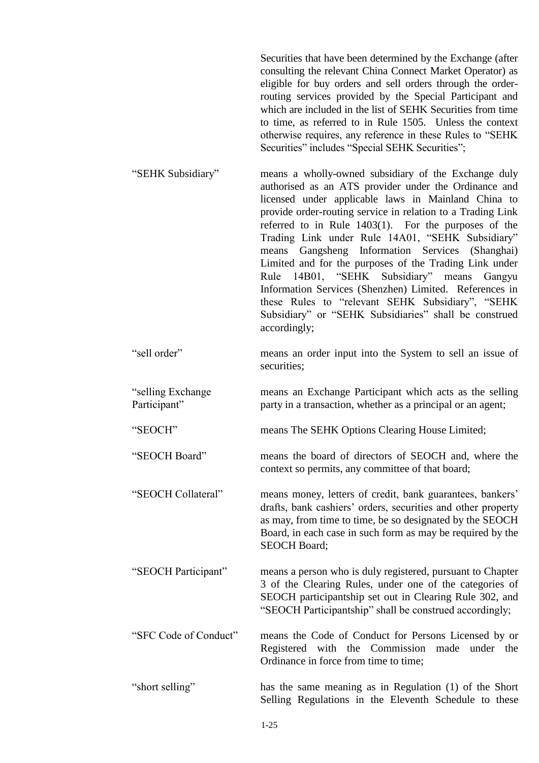Securities that have been determined by the Exchange (after consulting the relevant China Connect Market Operator) as eligible for buy orders and sell orders through the orderrouting services provided by the Special Participant and which are included in the list of SEHK Securities from time to time, as referred to in Rule 1505. Unless the context otherwise requires, any reference in these Rules to "SEHK Securities" includes "Special SEHK Securities";

- "SEHK Subsidiary" means a wholly-owned subsidiary of the Exchange duly authorised as an ATS provider under the Ordinance and licensed under applicable laws in Mainland China to provide order-routing service in relation to a Trading Link referred to in Rule 1403(1). For the purposes of the Trading Link under Rule 14A01, "SEHK Subsidiary" means Gangsheng Information Services (Shanghai) Limited and for the purposes of the Trading Link under Rule 14B01, "SEHK Subsidiary" means Gangyu Information Services (Shenzhen) Limited. References in these Rules to "relevant SEHK Subsidiary", "SEHK Subsidiary" or "SEHK Subsidiaries" shall be construed accordingly;
- "sell order" means an order input into the System to sell an issue of securities;
- "selling Exchange Participant" means an Exchange Participant which acts as the selling party in a transaction, whether as a principal or an agent;
- "SEOCH" means The SEHK Options Clearing House Limited;

"SEOCH Board" means the board of directors of SEOCH and, where the context so permits, any committee of that board;

"SEOCH Collateral" means money, letters of credit, bank guarantees, bankers' drafts, bank cashiers' orders, securities and other property as may, from time to time, be so designated by the SEOCH Board, in each case in such form as may be required by the SEOCH Board;

"SEOCH Participant" means a person who is duly registered, pursuant to Chapter 3 of the Clearing Rules, under one of the categories of SEOCH participantship set out in Clearing Rule 302, and "SEOCH Participantship" shall be construed accordingly;

"SFC Code of Conduct" means the Code of Conduct for Persons Licensed by or Registered with the Commission made under the Ordinance in force from time to time;

"short selling" has the same meaning as in Regulation (1) of the Short Selling Regulations in the Eleventh Schedule to these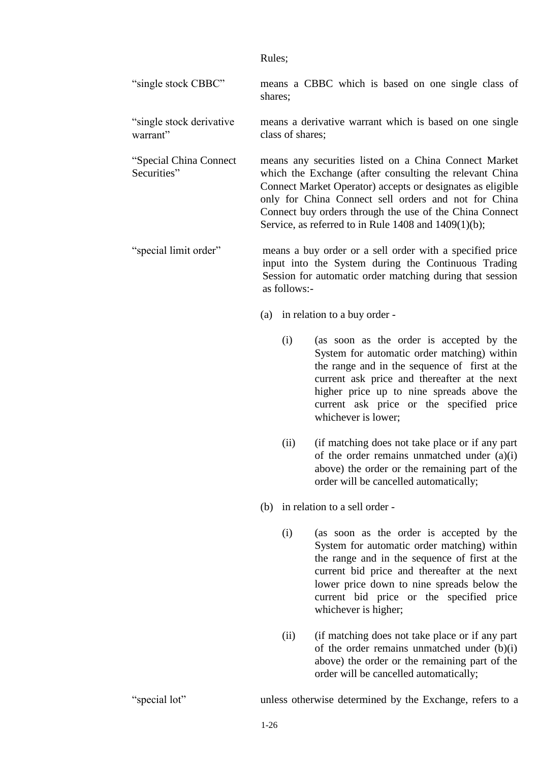Rules;

"single stock CBBC" means a CBBC which is based on one single class of shares;

"single stock derivative warrant" means a derivative warrant which is based on one single class of shares;

"Special China Connect means any securities listed on a China Connect Market which the Exchange (after consulting the relevant China Connect Market Operator) accepts or designates as eligible only for China Connect sell orders and not for China Connect buy orders through the use of the China Connect Service, as referred to in Rule 1408 and 1409(1)(b);

"special limit order" means a buy order or a sell order with a specified price input into the System during the Continuous Trading Session for automatic order matching during that session as follows:-

(a) in relation to a buy order -

- (i) (as soon as the order is accepted by the System for automatic order matching) within the range and in the sequence of first at the current ask price and thereafter at the next higher price up to nine spreads above the current ask price or the specified price whichever is lower;
- (ii) (if matching does not take place or if any part of the order remains unmatched under (a)(i) above) the order or the remaining part of the order will be cancelled automatically;

(b) in relation to a sell order -

- (i) (as soon as the order is accepted by the System for automatic order matching) within the range and in the sequence of first at the current bid price and thereafter at the next lower price down to nine spreads below the current bid price or the specified price whichever is higher;
- (ii) (if matching does not take place or if any part of the order remains unmatched under (b)(i) above) the order or the remaining part of the order will be cancelled automatically;

Securities"

"special lot" unless otherwise determined by the Exchange, refers to a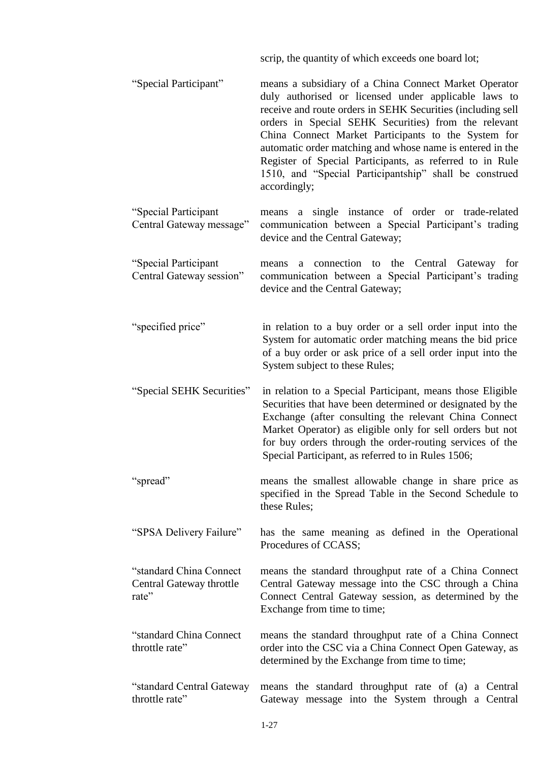scrip, the quantity of which exceeds one board lot; "Special Participant" means a subsidiary of a China Connect Market Operator duly authorised or licensed under applicable laws to receive and route orders in SEHK Securities (including sell orders in Special SEHK Securities) from the relevant China Connect Market Participants to the System for automatic order matching and whose name is entered in the Register of Special Participants, as referred to in Rule 1510, and "Special Participantship" shall be construed accordingly; "Special Participant Central Gateway message" means a single instance of order or trade-related communication between a Special Participant's trading device and the Central Gateway; "Special Participant Central Gateway session" means a connection to the Central Gateway for communication between a Special Participant's trading device and the Central Gateway; "specified price" in relation to a buy order or a sell order input into the System for automatic order matching means the bid price of a buy order or ask price of a sell order input into the System subject to these Rules; "Special SEHK Securities" in relation to a Special Participant, means those Eligible Securities that have been determined or designated by the Exchange (after consulting the relevant China Connect Market Operator) as eligible only for sell orders but not for buy orders through the order-routing services of the Special Participant, as referred to in Rules 1506; "spread" means the smallest allowable change in share price as specified in the Spread Table in the Second Schedule to these Rules; "SPSA Delivery Failure" has the same meaning as defined in the Operational Procedures of CCASS; "standard China Connect Central Gateway throttle rate" means the standard throughput rate of a China Connect Central Gateway message into the CSC through a China Connect Central Gateway session, as determined by the Exchange from time to time; "standard China Connect throttle rate" means the standard throughput rate of a China Connect order into the CSC via a China Connect Open Gateway, as determined by the Exchange from time to time; "standard Central Gateway throttle rate" means the standard throughput rate of (a) a Central Gateway message into the System through a Central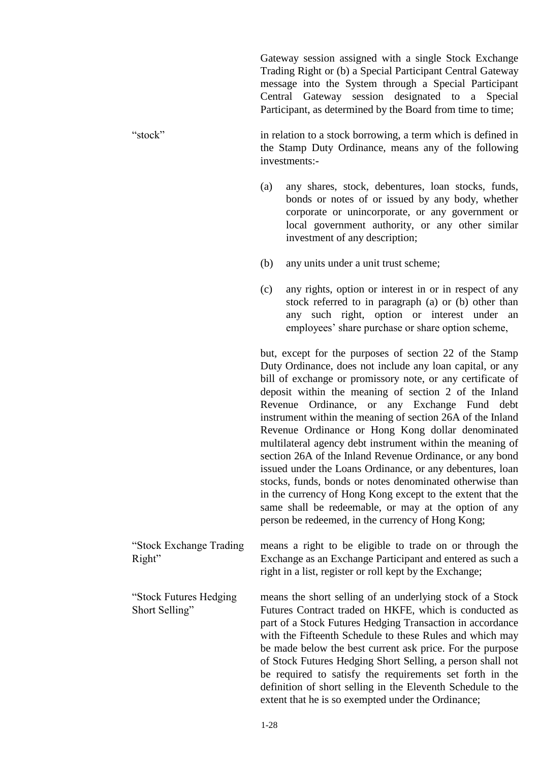Gateway session assigned with a single Stock Exchange Trading Right or (b) a Special Participant Central Gateway message into the System through a Special Participant Central Gateway session designated to a Special Participant, as determined by the Board from time to time;

"stock" in relation to a stock borrowing, a term which is defined in the Stamp Duty Ordinance, means any of the following investments:-

- (a) any shares, stock, debentures, loan stocks, funds, bonds or notes of or issued by any body, whether corporate or unincorporate, or any government or local government authority, or any other similar investment of any description;
- (b) any units under a unit trust scheme;
- (c) any rights, option or interest in or in respect of any stock referred to in paragraph (a) or (b) other than any such right, option or interest under an employees' share purchase or share option scheme,

but, except for the purposes of section 22 of the Stamp Duty Ordinance, does not include any loan capital, or any bill of exchange or promissory note, or any certificate of deposit within the meaning of section 2 of the Inland Revenue Ordinance, or any Exchange Fund debt instrument within the meaning of section 26A of the Inland Revenue Ordinance or Hong Kong dollar denominated multilateral agency debt instrument within the meaning of section 26A of the Inland Revenue Ordinance, or any bond issued under the Loans Ordinance, or any debentures, loan stocks, funds, bonds or notes denominated otherwise than in the currency of Hong Kong except to the extent that the same shall be redeemable, or may at the option of any person be redeemed, in the currency of Hong Kong;

"Stock Exchange Trading Right" means a right to be eligible to trade on or through the Exchange as an Exchange Participant and entered as such a right in a list, register or roll kept by the Exchange;

"Stock Futures Hedging Short Selling" means the short selling of an underlying stock of a Stock Futures Contract traded on HKFE, which is conducted as part of a Stock Futures Hedging Transaction in accordance with the Fifteenth Schedule to these Rules and which may be made below the best current ask price. For the purpose of Stock Futures Hedging Short Selling, a person shall not be required to satisfy the requirements set forth in the definition of short selling in the Eleventh Schedule to the

extent that he is so exempted under the Ordinance;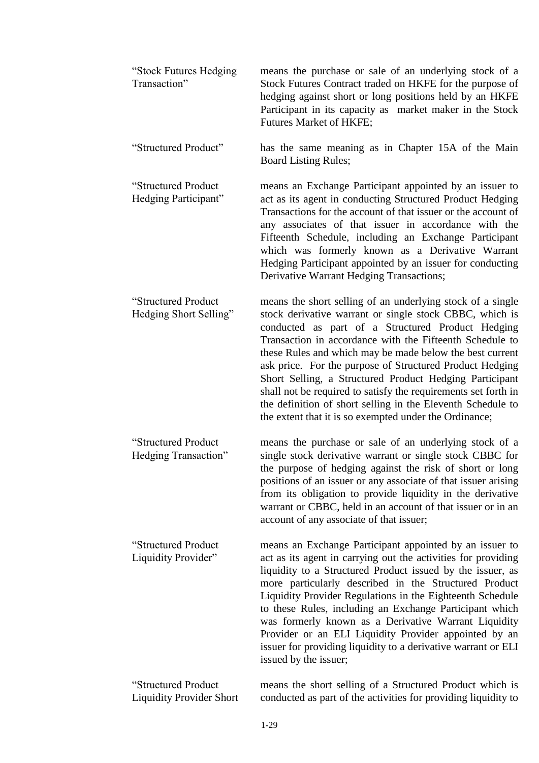| "Stock Futures Hedging<br>Transaction"                 | means the purchase or sale of an underlying stock of a<br>Stock Futures Contract traded on HKFE for the purpose of<br>hedging against short or long positions held by an HKFE<br>Participant in its capacity as market maker in the Stock<br>Futures Market of HKFE;                                                                                                                                                                                                                                                                                                                                                 |
|--------------------------------------------------------|----------------------------------------------------------------------------------------------------------------------------------------------------------------------------------------------------------------------------------------------------------------------------------------------------------------------------------------------------------------------------------------------------------------------------------------------------------------------------------------------------------------------------------------------------------------------------------------------------------------------|
| "Structured Product"                                   | has the same meaning as in Chapter 15A of the Main<br><b>Board Listing Rules;</b>                                                                                                                                                                                                                                                                                                                                                                                                                                                                                                                                    |
| "Structured Product<br>Hedging Participant"            | means an Exchange Participant appointed by an issuer to<br>act as its agent in conducting Structured Product Hedging<br>Transactions for the account of that issuer or the account of<br>any associates of that issuer in accordance with the<br>Fifteenth Schedule, including an Exchange Participant<br>which was formerly known as a Derivative Warrant<br>Hedging Participant appointed by an issuer for conducting<br>Derivative Warrant Hedging Transactions;                                                                                                                                                  |
| "Structured Product<br>Hedging Short Selling"          | means the short selling of an underlying stock of a single<br>stock derivative warrant or single stock CBBC, which is<br>conducted as part of a Structured Product Hedging<br>Transaction in accordance with the Fifteenth Schedule to<br>these Rules and which may be made below the best current<br>ask price. For the purpose of Structured Product Hedging<br>Short Selling, a Structured Product Hedging Participant<br>shall not be required to satisfy the requirements set forth in<br>the definition of short selling in the Eleventh Schedule to<br>the extent that it is so exempted under the Ordinance; |
| "Structured Product<br>Hedging Transaction"            | means the purchase or sale of an underlying stock of a<br>single stock derivative warrant or single stock CBBC for<br>the purpose of hedging against the risk of short or long<br>positions of an issuer or any associate of that issuer arising<br>from its obligation to provide liquidity in the derivative<br>warrant or CBBC, held in an account of that issuer or in an<br>account of any associate of that issuer;                                                                                                                                                                                            |
| "Structured Product<br>Liquidity Provider"             | means an Exchange Participant appointed by an issuer to<br>act as its agent in carrying out the activities for providing<br>liquidity to a Structured Product issued by the issuer, as<br>more particularly described in the Structured Product<br>Liquidity Provider Regulations in the Eighteenth Schedule<br>to these Rules, including an Exchange Participant which<br>was formerly known as a Derivative Warrant Liquidity<br>Provider or an ELI Liquidity Provider appointed by an<br>issuer for providing liquidity to a derivative warrant or ELI<br>issued by the issuer;                                   |
| "Structured Product<br><b>Liquidity Provider Short</b> | means the short selling of a Structured Product which is<br>conducted as part of the activities for providing liquidity to                                                                                                                                                                                                                                                                                                                                                                                                                                                                                           |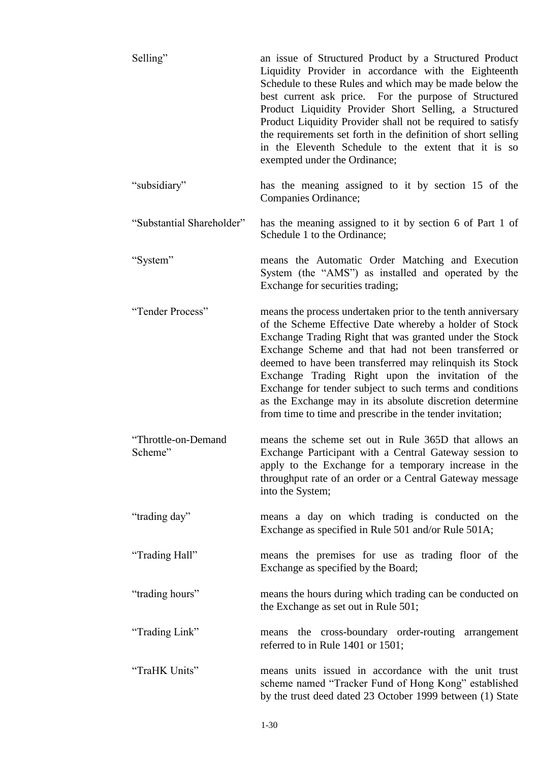| Selling"                       | an issue of Structured Product by a Structured Product<br>Liquidity Provider in accordance with the Eighteenth<br>Schedule to these Rules and which may be made below the<br>best current ask price. For the purpose of Structured<br>Product Liquidity Provider Short Selling, a Structured<br>Product Liquidity Provider shall not be required to satisfy<br>the requirements set forth in the definition of short selling<br>in the Eleventh Schedule to the extent that it is so<br>exempted under the Ordinance;                          |  |  |
|--------------------------------|------------------------------------------------------------------------------------------------------------------------------------------------------------------------------------------------------------------------------------------------------------------------------------------------------------------------------------------------------------------------------------------------------------------------------------------------------------------------------------------------------------------------------------------------|--|--|
| "subsidiary"                   | has the meaning assigned to it by section 15 of the<br>Companies Ordinance;                                                                                                                                                                                                                                                                                                                                                                                                                                                                    |  |  |
| "Substantial Shareholder"      | has the meaning assigned to it by section 6 of Part 1 of<br>Schedule 1 to the Ordinance;                                                                                                                                                                                                                                                                                                                                                                                                                                                       |  |  |
| "System"                       | means the Automatic Order Matching and Execution<br>System (the "AMS") as installed and operated by the<br>Exchange for securities trading;                                                                                                                                                                                                                                                                                                                                                                                                    |  |  |
| "Tender Process"               | means the process undertaken prior to the tenth anniversary<br>of the Scheme Effective Date whereby a holder of Stock<br>Exchange Trading Right that was granted under the Stock<br>Exchange Scheme and that had not been transferred or<br>deemed to have been transferred may relinquish its Stock<br>Exchange Trading Right upon the invitation of the<br>Exchange for tender subject to such terms and conditions<br>as the Exchange may in its absolute discretion determine<br>from time to time and prescribe in the tender invitation; |  |  |
| "Throttle-on-Demand<br>Scheme" | means the scheme set out in Rule 365D that allows an<br>Exchange Participant with a Central Gateway session to<br>apply to the Exchange for a temporary increase in the<br>throughput rate of an order or a Central Gateway message<br>into the System;                                                                                                                                                                                                                                                                                        |  |  |
| "trading day"                  | means a day on which trading is conducted on the<br>Exchange as specified in Rule 501 and/or Rule 501A;                                                                                                                                                                                                                                                                                                                                                                                                                                        |  |  |
| "Trading Hall"                 | means the premises for use as trading floor of the<br>Exchange as specified by the Board;                                                                                                                                                                                                                                                                                                                                                                                                                                                      |  |  |
| "trading hours"                | means the hours during which trading can be conducted on<br>the Exchange as set out in Rule 501;                                                                                                                                                                                                                                                                                                                                                                                                                                               |  |  |
| "Trading Link"                 | means the cross-boundary order-routing arrangement<br>referred to in Rule 1401 or 1501;                                                                                                                                                                                                                                                                                                                                                                                                                                                        |  |  |
| "TraHK Units"                  | means units issued in accordance with the unit trust<br>scheme named "Tracker Fund of Hong Kong" established<br>by the trust deed dated 23 October 1999 between (1) State                                                                                                                                                                                                                                                                                                                                                                      |  |  |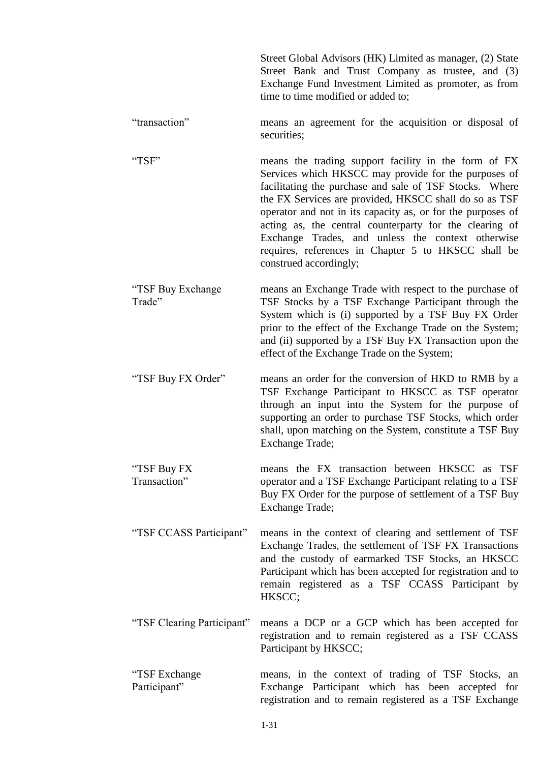|                                | Street Global Advisors (HK) Limited as manager, (2) State<br>Street Bank and Trust Company as trustee, and (3)<br>Exchange Fund Investment Limited as promoter, as from<br>time to time modified or added to;                                                                                                                                                                                                                                                                                     |
|--------------------------------|---------------------------------------------------------------------------------------------------------------------------------------------------------------------------------------------------------------------------------------------------------------------------------------------------------------------------------------------------------------------------------------------------------------------------------------------------------------------------------------------------|
| "transaction"                  | means an agreement for the acquisition or disposal of<br>securities;                                                                                                                                                                                                                                                                                                                                                                                                                              |
| "TSF"                          | means the trading support facility in the form of FX<br>Services which HKSCC may provide for the purposes of<br>facilitating the purchase and sale of TSF Stocks. Where<br>the FX Services are provided, HKSCC shall do so as TSF<br>operator and not in its capacity as, or for the purposes of<br>acting as, the central counterparty for the clearing of<br>Exchange Trades, and unless the context otherwise<br>requires, references in Chapter 5 to HKSCC shall be<br>construed accordingly; |
| "TSF Buy Exchange"<br>Trade"   | means an Exchange Trade with respect to the purchase of<br>TSF Stocks by a TSF Exchange Participant through the<br>System which is (i) supported by a TSF Buy FX Order<br>prior to the effect of the Exchange Trade on the System;<br>and (ii) supported by a TSF Buy FX Transaction upon the<br>effect of the Exchange Trade on the System;                                                                                                                                                      |
| "TSF Buy FX Order"             | means an order for the conversion of HKD to RMB by a<br>TSF Exchange Participant to HKSCC as TSF operator<br>through an input into the System for the purpose of<br>supporting an order to purchase TSF Stocks, which order<br>shall, upon matching on the System, constitute a TSF Buy<br><b>Exchange Trade;</b>                                                                                                                                                                                 |
| "TSF Buy FX<br>Transaction"    | means the FX transaction between HKSCC as TSF<br>operator and a TSF Exchange Participant relating to a TSF<br>Buy FX Order for the purpose of settlement of a TSF Buy<br><b>Exchange Trade;</b>                                                                                                                                                                                                                                                                                                   |
| "TSF CCASS Participant"        | means in the context of clearing and settlement of TSF<br>Exchange Trades, the settlement of TSF FX Transactions<br>and the custody of earmarked TSF Stocks, an HKSCC<br>Participant which has been accepted for registration and to<br>remain registered as a TSF CCASS Participant by<br>HKSCC;                                                                                                                                                                                                 |
| "TSF Clearing Participant"     | means a DCP or a GCP which has been accepted for<br>registration and to remain registered as a TSF CCASS<br>Participant by HKSCC;                                                                                                                                                                                                                                                                                                                                                                 |
| "TSF Exchange"<br>Participant" | means, in the context of trading of TSF Stocks, an<br>Exchange Participant which has been accepted for<br>registration and to remain registered as a TSF Exchange                                                                                                                                                                                                                                                                                                                                 |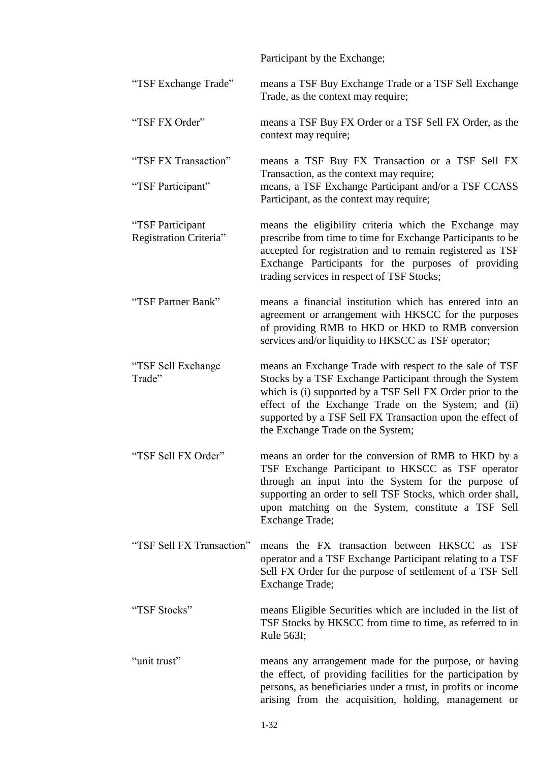|                                            | Participant by the Exchange;                                                                                                                                                                                                                                                                                                               |
|--------------------------------------------|--------------------------------------------------------------------------------------------------------------------------------------------------------------------------------------------------------------------------------------------------------------------------------------------------------------------------------------------|
| "TSF Exchange Trade"                       | means a TSF Buy Exchange Trade or a TSF Sell Exchange<br>Trade, as the context may require;                                                                                                                                                                                                                                                |
| "TSF FX Order"                             | means a TSF Buy FX Order or a TSF Sell FX Order, as the<br>context may require;                                                                                                                                                                                                                                                            |
| "TSF FX Transaction"<br>"TSF Participant"  | means a TSF Buy FX Transaction or a TSF Sell FX<br>Transaction, as the context may require;<br>means, a TSF Exchange Participant and/or a TSF CCASS<br>Participant, as the context may require;                                                                                                                                            |
| "TSF Participant<br>Registration Criteria" | means the eligibility criteria which the Exchange may<br>prescribe from time to time for Exchange Participants to be<br>accepted for registration and to remain registered as TSF<br>Exchange Participants for the purposes of providing<br>trading services in respect of TSF Stocks;                                                     |
| "TSF Partner Bank"                         | means a financial institution which has entered into an<br>agreement or arrangement with HKSCC for the purposes<br>of providing RMB to HKD or HKD to RMB conversion<br>services and/or liquidity to HKSCC as TSF operator;                                                                                                                 |
| "TSF Sell Exchange<br>Trade"               | means an Exchange Trade with respect to the sale of TSF<br>Stocks by a TSF Exchange Participant through the System<br>which is (i) supported by a TSF Sell FX Order prior to the<br>effect of the Exchange Trade on the System; and (ii)<br>supported by a TSF Sell FX Transaction upon the effect of<br>the Exchange Trade on the System; |
| "TSF Sell FX Order"                        | means an order for the conversion of RMB to HKD by a<br>TSF Exchange Participant to HKSCC as TSF operator<br>through an input into the System for the purpose of<br>supporting an order to sell TSF Stocks, which order shall,<br>upon matching on the System, constitute a TSF Sell<br><b>Exchange Trade;</b>                             |
| "TSF Sell FX Transaction"                  | means the FX transaction between HKSCC as TSF<br>operator and a TSF Exchange Participant relating to a TSF<br>Sell FX Order for the purpose of settlement of a TSF Sell<br>Exchange Trade;                                                                                                                                                 |
| "TSF Stocks"                               | means Eligible Securities which are included in the list of<br>TSF Stocks by HKSCC from time to time, as referred to in<br>Rule 563I;                                                                                                                                                                                                      |
| "unit trust"                               | means any arrangement made for the purpose, or having<br>the effect, of providing facilities for the participation by<br>persons, as beneficiaries under a trust, in profits or income<br>arising from the acquisition, holding, management or                                                                                             |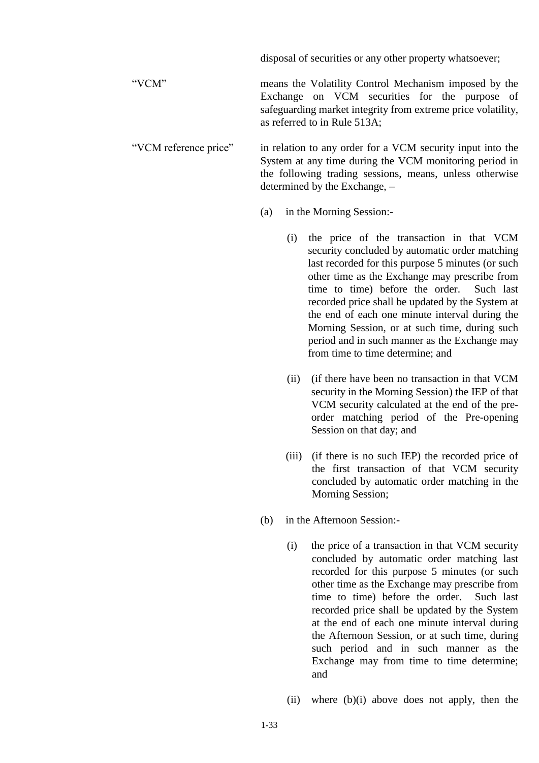|                       |     |                                                                                                                                                                                                                  | disposal of securities or any other property whatsoever;                                                                                                                                                                                                                                                                                                                                                                                                                                     |  |
|-----------------------|-----|------------------------------------------------------------------------------------------------------------------------------------------------------------------------------------------------------------------|----------------------------------------------------------------------------------------------------------------------------------------------------------------------------------------------------------------------------------------------------------------------------------------------------------------------------------------------------------------------------------------------------------------------------------------------------------------------------------------------|--|
| "VCM"                 |     |                                                                                                                                                                                                                  | means the Volatility Control Mechanism imposed by the<br>Exchange on VCM securities for the purpose of<br>safeguarding market integrity from extreme price volatility,<br>as referred to in Rule 513A;                                                                                                                                                                                                                                                                                       |  |
| "VCM reference price" |     | in relation to any order for a VCM security input into the<br>System at any time during the VCM monitoring period in<br>the following trading sessions, means, unless otherwise<br>determined by the Exchange, - |                                                                                                                                                                                                                                                                                                                                                                                                                                                                                              |  |
|                       | (a) |                                                                                                                                                                                                                  | in the Morning Session:-                                                                                                                                                                                                                                                                                                                                                                                                                                                                     |  |
|                       |     | (i)                                                                                                                                                                                                              | the price of the transaction in that VCM<br>security concluded by automatic order matching<br>last recorded for this purpose 5 minutes (or such<br>other time as the Exchange may prescribe from<br>time to time) before the order.<br>Such last<br>recorded price shall be updated by the System at<br>the end of each one minute interval during the<br>Morning Session, or at such time, during such<br>period and in such manner as the Exchange may<br>from time to time determine; and |  |
|                       |     | (ii)                                                                                                                                                                                                             | (if there have been no transaction in that VCM<br>security in the Morning Session) the IEP of that<br>VCM security calculated at the end of the pre-<br>order matching period of the Pre-opening<br>Session on that day; and                                                                                                                                                                                                                                                                 |  |
|                       |     |                                                                                                                                                                                                                  | (iii) (if there is no such IEP) the recorded price of<br>the first transaction of that VCM security<br>concluded by automatic order matching in the<br>Morning Session;                                                                                                                                                                                                                                                                                                                      |  |
|                       | (b) |                                                                                                                                                                                                                  | in the Afternoon Session:-                                                                                                                                                                                                                                                                                                                                                                                                                                                                   |  |
|                       |     | (i)                                                                                                                                                                                                              | the price of a transaction in that VCM security<br>concluded by automatic order matching last<br>recorded for this purpose 5 minutes (or such<br>other time as the Exchange may prescribe from<br>time to time) before the order.<br>Such last<br>recorded price shall be updated by the System<br>at the end of each one minute interval during<br>the Afternoon Session, or at such time, during<br>such period and in such manner as the<br>Exchange may from time to time determine;     |  |

(ii) where (b)(i) above does not apply, then the

and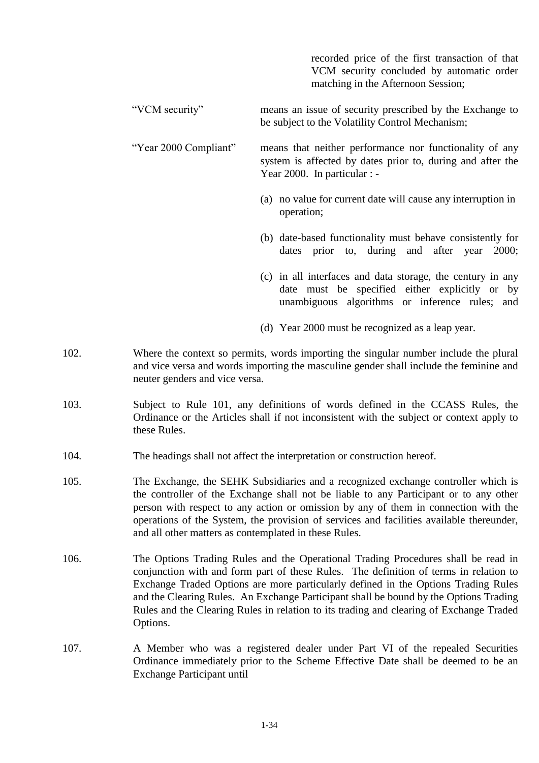|                       | recorded price of the first transaction of that<br>VCM security concluded by automatic order<br>matching in the Afternoon Session;                      |
|-----------------------|---------------------------------------------------------------------------------------------------------------------------------------------------------|
| "VCM security"        | means an issue of security prescribed by the Exchange to<br>be subject to the Volatility Control Mechanism;                                             |
| "Year 2000 Compliant" | means that neither performance nor functionality of any<br>system is affected by dates prior to, during and after the<br>Year 2000. In particular : $-$ |
|                       | (a) no value for current date will cause any interruption in<br>operation;                                                                              |
|                       | (b) date-based functionality must behave consistently for<br>dates prior to, during and after year<br>2000;                                             |
|                       | (c) in all interfaces and data storage, the century in any<br>date must be specified either explicitly or by                                            |

(d) Year 2000 must be recognized as a leap year.

unambiguous algorithms or inference rules; and

- 102. Where the context so permits, words importing the singular number include the plural and vice versa and words importing the masculine gender shall include the feminine and neuter genders and vice versa.
- 103. Subject to Rule 101, any definitions of words defined in the CCASS Rules, the Ordinance or the Articles shall if not inconsistent with the subject or context apply to these Rules.
- 104. The headings shall not affect the interpretation or construction hereof.
- 105. The Exchange, the SEHK Subsidiaries and a recognized exchange controller which is the controller of the Exchange shall not be liable to any Participant or to any other person with respect to any action or omission by any of them in connection with the operations of the System, the provision of services and facilities available thereunder, and all other matters as contemplated in these Rules.
- 106. The Options Trading Rules and the Operational Trading Procedures shall be read in conjunction with and form part of these Rules. The definition of terms in relation to Exchange Traded Options are more particularly defined in the Options Trading Rules and the Clearing Rules. An Exchange Participant shall be bound by the Options Trading Rules and the Clearing Rules in relation to its trading and clearing of Exchange Traded Options.
- 107. A Member who was a registered dealer under Part VI of the repealed Securities Ordinance immediately prior to the Scheme Effective Date shall be deemed to be an Exchange Participant until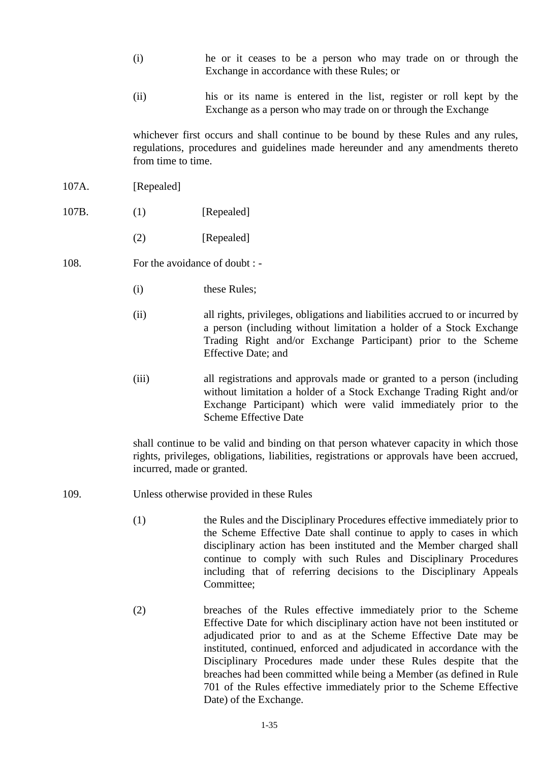- (i) he or it ceases to be a person who may trade on or through the Exchange in accordance with these Rules; or
- (ii) his or its name is entered in the list, register or roll kept by the Exchange as a person who may trade on or through the Exchange

whichever first occurs and shall continue to be bound by these Rules and any rules, regulations, procedures and guidelines made hereunder and any amendments thereto from time to time.

- 107A. [Repealed]
- 107B. (1) [Repealed]
	- (2) [Repealed]
- 108. For the avoidance of doubt : -
	- (i) these Rules;
	- (ii) all rights, privileges, obligations and liabilities accrued to or incurred by a person (including without limitation a holder of a Stock Exchange Trading Right and/or Exchange Participant) prior to the Scheme Effective Date; and
	- (iii) all registrations and approvals made or granted to a person (including without limitation a holder of a Stock Exchange Trading Right and/or Exchange Participant) which were valid immediately prior to the Scheme Effective Date

shall continue to be valid and binding on that person whatever capacity in which those rights, privileges, obligations, liabilities, registrations or approvals have been accrued, incurred, made or granted.

- 109. Unless otherwise provided in these Rules
	- (1) the Rules and the Disciplinary Procedures effective immediately prior to the Scheme Effective Date shall continue to apply to cases in which disciplinary action has been instituted and the Member charged shall continue to comply with such Rules and Disciplinary Procedures including that of referring decisions to the Disciplinary Appeals Committee;
	- (2) breaches of the Rules effective immediately prior to the Scheme Effective Date for which disciplinary action have not been instituted or adjudicated prior to and as at the Scheme Effective Date may be instituted, continued, enforced and adjudicated in accordance with the Disciplinary Procedures made under these Rules despite that the breaches had been committed while being a Member (as defined in Rule 701 of the Rules effective immediately prior to the Scheme Effective Date) of the Exchange.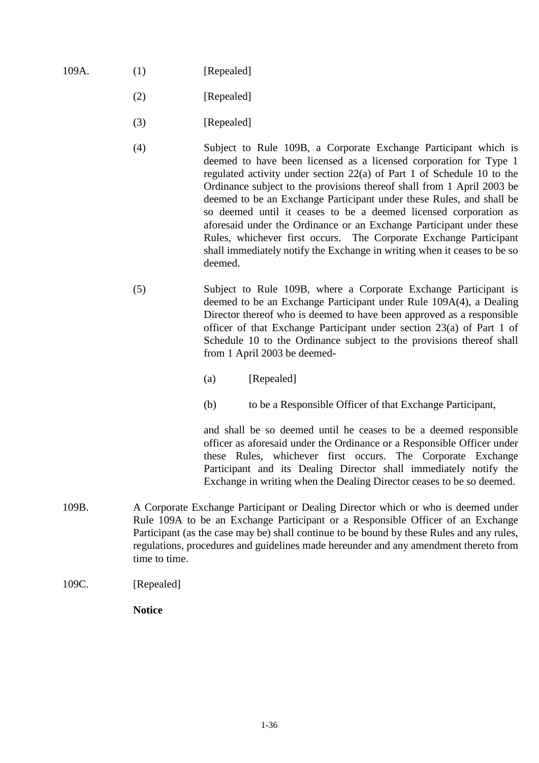- 109A. (1) [Repealed]
	- (2) [Repealed]
	- (3) [Repealed]
	- (4) Subject to Rule 109B, a Corporate Exchange Participant which is deemed to have been licensed as a licensed corporation for Type 1 regulated activity under section 22(a) of Part 1 of Schedule 10 to the Ordinance subject to the provisions thereof shall from 1 April 2003 be deemed to be an Exchange Participant under these Rules, and shall be so deemed until it ceases to be a deemed licensed corporation as aforesaid under the Ordinance or an Exchange Participant under these Rules, whichever first occurs. The Corporate Exchange Participant shall immediately notify the Exchange in writing when it ceases to be so deemed.
	- (5) Subject to Rule 109B, where a Corporate Exchange Participant is deemed to be an Exchange Participant under Rule 109A(4), a Dealing Director thereof who is deemed to have been approved as a responsible officer of that Exchange Participant under section 23(a) of Part 1 of Schedule 10 to the Ordinance subject to the provisions thereof shall from 1 April 2003 be deemed-
		- (a) [Repealed]
		- (b) to be a Responsible Officer of that Exchange Participant,

and shall be so deemed until he ceases to be a deemed responsible officer as aforesaid under the Ordinance or a Responsible Officer under these Rules, whichever first occurs. The Corporate Exchange Participant and its Dealing Director shall immediately notify the Exchange in writing when the Dealing Director ceases to be so deemed.

- 109B. A Corporate Exchange Participant or Dealing Director which or who is deemed under Rule 109A to be an Exchange Participant or a Responsible Officer of an Exchange Participant (as the case may be) shall continue to be bound by these Rules and any rules, regulations, procedures and guidelines made hereunder and any amendment thereto from time to time.
- 109C. [Repealed]

**Notice**